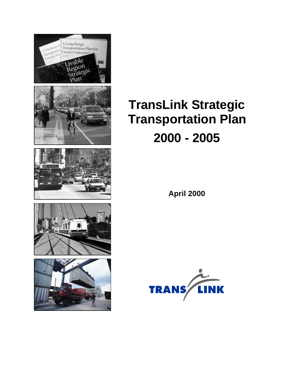

**April 2000**

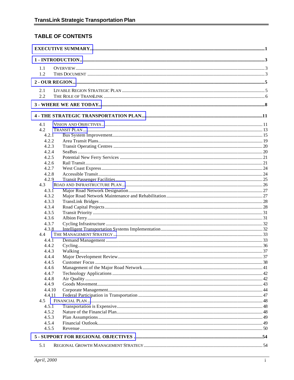#### TABLE OF CONTENTS

| 1.1        |        |  |
|------------|--------|--|
| 1.2        |        |  |
|            |        |  |
|            |        |  |
| 2.1<br>2.2 |        |  |
|            |        |  |
|            |        |  |
|            |        |  |
| 4.1        |        |  |
| 4.2        |        |  |
| 4.2.1      |        |  |
| 4.2.2      |        |  |
| 4.2.3      |        |  |
| 4.2.4      |        |  |
| 4.2.5      |        |  |
| 4.2.6      |        |  |
| 4.2.7      |        |  |
| 4.2.8      |        |  |
| 4.2.9      |        |  |
| 4.3        |        |  |
| 4.3.1      |        |  |
| 4.3.2      |        |  |
| 4.3.3      |        |  |
| 4.3.4      |        |  |
| 4.3.5      |        |  |
| 4.3.6      |        |  |
| 4.3.7      |        |  |
| 4.3.8      |        |  |
| 4.4        |        |  |
| 4.4.1      |        |  |
| 4.4.2      |        |  |
| 4.4.3      |        |  |
| 4.4.4      |        |  |
| 4.4.5      |        |  |
| 4.4.6      |        |  |
| 4.4.7      |        |  |
| 4.4.8      |        |  |
| 4.4.9      |        |  |
|            | 4.4.10 |  |
| 4.4.11     |        |  |
| 4.5        |        |  |
| 4.5.1      |        |  |
| 4.5.2      |        |  |
| 4.5.3      |        |  |
| 4.5.4      |        |  |
| 4.5.5      |        |  |
|            |        |  |
| 5.1        |        |  |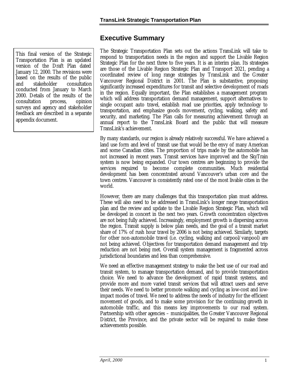### **Executive Summary**

<span id="page-3-0"></span>This final version of the Strategic Transportation Plan is an updated version of the Draft Plan dated January 12, 2000. The revisions were based on the results of the public and stakeholder consultation conducted from January to March 2000. Details of the results of the consultation process, opinion surveys and agency and stakeholder feedback are described in a separate appendix document.

The Strategic Transportation Plan sets out the actions TransLink will take to respond to transportation needs in the region and support the Livable Region Strategic Plan for the next three to five years. It is an interim plan. Its strategies are those of the Livable Region Strategic Plan and Transport 2021, pending a coordinated review of long range strategies by TransLink and the Greater Vancouver Regional District in 2001. The Plan is substantive, proposing significantly increased expenditures for transit and selective development of roads in the region. Equally important, the Plan establishes a management program which will address transportation demand management, support alternatives to single occupant auto travel, establish road use priorities, apply technology to transportation, and emphasize goods movement, cycling, walking, safety and security, and marketing. The Plan calls for measuring achievement through an annual report to the TransLink Board and the public that will measure TransLink's achievement.

By many standards, our region is already relatively successful. We have achieved a land use form and level of transit use that would be the envy of many American and some Canadian cities. The proportion of trips made by the automobile has not increased in recent years. Transit services have improved and the SkyTrain system is now being expanded. Our town centres are beginning to provide the services required to become complete communities. Much residential development has been concentrated around Vancouver's urban core and the town centres. Vancouver is consistently rated one of the most livable cities in the world.

However, there are many challenges that this transportation plan must address. These will also need to be addressed in TransLink's longer range transportation plan and the review and update to the Livable Region Strategic Plan, which will be developed in concert in the next two years. Growth concentration objectives are not being fully achieved. Increasingly, employment growth is dispersing across the region. Transit supply is below plan needs, and the goal of a transit market share of 17% of rush hour travel by 2006 is not being achieved. Similarly, targets for other non-automobile travel (i.e. cycling, walking and carpool/vanpool) are not being achieved. Objectives for transportation demand management and trip reduction are not being met. Overall system management is fragmented across jurisdictional boundaries and less than comprehensive.

We need an effective management strategy to make the best use of our road and transit system, to manage transportation demand, and to provide transportation choice. We need to advance the development of rapid transit systems, and provide more and more varied transit services that will attract users and serve their needs. We need to better promote walking and cycling as low-cost and lowimpact modes of travel. We need to address the needs of industry for the efficient movement of goods, and to make some provision for the continuing growth in automobile traffic, and this means key improvements to our road system. Partnership with other agencies – municipalities, the Greater Vancouver Regional District, the Province, and the private sector will be required to make these achievements possible.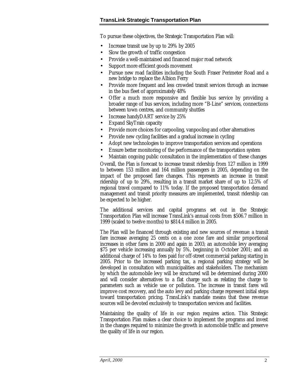To pursue these objectives, the Strategic Transportation Plan will:

- Increase transit use by up to 29% by 2005
- Slow the growth of traffic congestion
- Provide a well-maintained and financed major road network
- Support more efficient goods movement
- Pursue new road facilities including the South Fraser Perimeter Road and a new bridge to replace the Albion Ferry
- Provide more frequent and less crowded transit services through an increase in the bus fleet of approximately 48%
- Offer a much more responsive and flexible bus service by providing a broader range of bus services, including more "B-Line" services, connections between town centres, and community shuttles
- Increase handyDART service by 25%
- Expand SkyTrain capacity
- Provide more choices for carpooling, vanpooling and other alternatives
- Provide new cycling facilities and a gradual increase in cycling
- Adopt new technologies to improve transportation services and operations
- Ensure better monitoring of the performance of the transportation system
- Maintain ongoing public consultation in the implementation of these changes

Overall, the Plan is forecast to increase transit ridership from 127 million in 1999 to between 153 million and 164 million passengers in 2005, depending on the impact of the proposed fare changes. This represents an increase in transit ridership of up to 29%, resulting in a transit market share of up to 12.5% of regional travel compared to 11% today. If the proposed transportation demand management and transit priority measures are implemented, transit ridership can be expected to be higher.

The additional services and capital programs set out in the Strategic Transportation Plan will increase TransLink's annual costs from \$506.7 million in 1999 (scaled to twelve months) to \$814.4 million in 2005.

The Plan will be financed through existing and new sources of revenue: a transit fare increase averaging 25 cents on a one zone fare and similar proportional increases in other fares in 2000 and again in 2003; an automobile levy averaging \$75 per vehicle increasing annually by 5%, beginning in October 2001; and an additional charge of 14% to fees paid for off-street commercial parking starting in 2005. Prior to the increased parking tax, a regional parking strategy will be developed in consultation with municipalities and stakeholders. The mechanism by which the automobile levy will be structured will be determined during 2000 and will consider alternatives to a flat charge such as relating the charge to parameters such as vehicle use or pollution. The increase in transit fares will improve cost recovery, and the auto levy and parking charge represent initial steps toward transportation pricing. TransLink's mandate means that these revenue sources will be devoted exclusively to transportation services and facilities.

Maintaining the quality of life in our region requires action. This Strategic Transportation Plan makes a clear choice to implement the programs and invest in the changes required to minimize the growth in automobile traffic and preserve the quality of life in our region.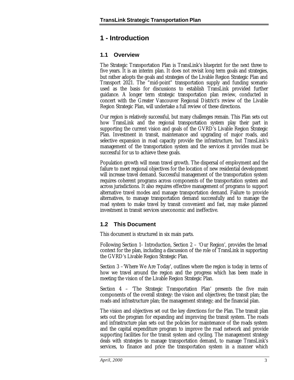### <span id="page-5-0"></span>**1 - Introduction**

#### **1.1 Overview**

The Strategic Transportation Plan is TransLink's blueprint for the next three to five years. It is an interim plan. It does not revisit long term goals and strategies, but rather adopts the goals and strategies of the Livable Region Strategic Plan and Transport 2021. The "mid-point" transportation supply and funding scenario used as the basis for discussions to establish TransLink provided further guidance. A longer term strategic transportation plan review, conducted in concert with the Greater Vancouver Regional District's review of the Livable Region Strategic Plan, will undertake a full review of these directions.

Our region is relatively successful, but many challenges remain. This Plan sets out how TransLink and the regional transportation system play their part in supporting the current vision and goals of the GVRD's Livable Region Strategic Plan. Investment in transit, maintenance and upgrading of major roads, and selective expansion in road capacity provide the infrastructure, but TransLink's management of the transportation system and the services it provides must be successful for us to achieve these goals.

Population growth will mean travel growth. The dispersal of employment and the failure to meet regional objectives for the location of new residential development will increase travel demand. Successful management of the transportation system requires coherent programs across components of the transportation system and across jurisdictions. It also requires effective management of programs to support alternative travel modes and manage transportation demand. Failure to provide alternatives, to manage transportation demand successfully and to manage the road system to make travel by transit convenient and fast, may make planned investment in transit services uneconomic and ineffective.

### **1.2 This Document**

This document is structured in six main parts.

Following Section 1- Introduction, Section 2 – 'Our Region', provides the broad context for the plan, including a discussion of the role of TransLink in supporting the GVRD's Livable Region Strategic Plan.

Section 3 –'Where We Are Today', outlines where the region is today in terms of how we travel around the region and the progress which has been made in meeting the vision of the Livable Region Strategic Plan.

Section 4 – 'The Strategic Transportation Plan' presents the five main components of the overall strategy: the vision and objectives; the transit plan; the roads and infrastructure plan; the management strategy; and the financial plan.

The vision and objectives set out the key directions for the Plan. The transit plan sets out the program for expanding and improving the transit system. The roads and infrastructure plan sets out the policies for maintenance of the roads system and the capital expenditure program to improve the road network and provide supporting facilities for the transit system and cycling. The management strategy deals with strategies to manage transportation demand, to manage TransLink's services, to finance and price the transportation system in a manner which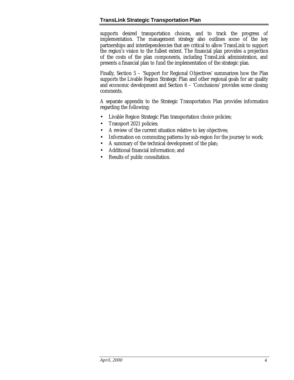supports desired transportation choices, and to track the progress of implementation. The management strategy also outlines some of the key partnerships and interdependencies that are critical to allow TransLink to support the region's vision to the fullest extent. The financial plan provides a projection of the costs of the plan components, including TransLink administration, and presents a financial plan to fund the implementation of the strategic plan.

Finally, Section 5 – 'Support for Regional Objectives' summarizes how the Plan supports the Livable Region Strategic Plan and other regional goals for air quality and economic development and Section 6 – 'Conclusions' provides some closing comments.

A separate appendix to the Strategic Transportation Plan provides information regarding the following:

- Livable Region Strategic Plan transportation choice policies;
- Transport 2021 policies;
- A review of the current situation relative to key objectives;
- Information on commuting patterns by sub-region for the journey to work;
- A summary of the technical development of the plan;
- Additional financial information; and
- Results of public consultation.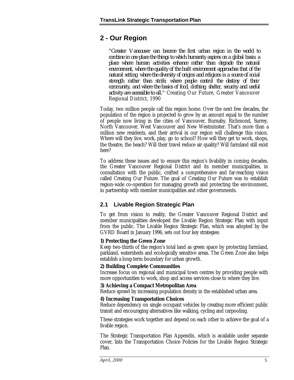### <span id="page-7-0"></span>**2 - Our Region**

*"Greater Vancouver can become the first urban region in the world to combine in one place the things to which humanity aspires on a global basis: a place where human activities enhance rather than degrade the natural environment, where the quality of the built environment approaches that of the natural setting, where the diversity of origins and religions is a source of social strength rather than strife, where people control the destiny of their community, and where the basics of food, clothing, shelter, security and useful activity are accessible to all."* Creating Our Future, Greater Vancouver Regional District, 1990

Today, two million people call this region home. Over the next few decades, the population of the region is projected to grow by an amount equal to the number of people now living in the cities of Vancouver, Burnaby, Richmond, Surrey, North Vancouver, West Vancouver and New Westminster. That's more than a million new residents, and their arrival in our region will challenge this vision. Where will they live, work, play, go to school? How will they get to work, shops, the theatre, the beach? Will their travel reduce air quality? Will farmland still exist here?

To address these issues and to ensure this region's livability in coming decades, the Greater Vancouver Regional District and its member municipalities, in consultation with the public, crafted a comprehensive and far-reaching vision called Creating Our Future. The goal of Creating Our Future was to establish region-wide co-operation for managing growth and protecting the environment, in partnership with member municipalities and other governments.

#### **2.1 Livable Region Strategic Plan**

To get from vision to reality, the Greater Vancouver Regional District and member municipalities developed the Livable Region Strategic Plan with input from the public. The Livable Region Strategic Plan, which was adopted by the GVRD Board in January 1996, sets out four key strategies:

#### **1) Protecting the Green Zone**

Keep two-thirds of the region's total land as green space by protecting farmland, parkland, watersheds and ecologically sensitive areas. The Green Zone also helps establish a long-term boundary for urban growth.

#### **2) Building Complete Communities**

Increase focus on regional and municipal town centres by providing people with more opportunities to work, shop and access services close to where they live.

#### **3) Achieving a Compact Metropolitan Area**

Reduce sprawl by increasing population density in the established urban area.

#### **4) Increasing Transportation Choices**

Reduce dependency on single occupant vehicles by creating more efficient public transit and encouraging alternatives like walking, cycling and carpooling.

These strategies work together and depend on each other to achieve the goal of a livable region.

The Strategic Transportation Plan Appendix, which is available under separate cover, lists the Transportation Choice Policies for the Livable Region Strategic Plan.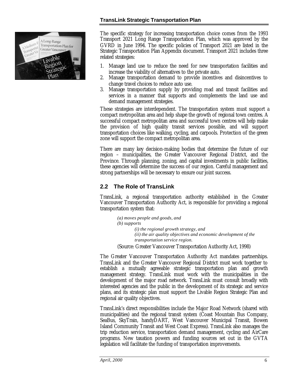

The specific strategy for increasing transportation choice comes from the 1993 Transport 2021 Long Range Transportation Plan, which was approved by the GVRD in June 1994. The specific policies of Transport 2021 are listed in the Strategic Transportation Plan Appendix document. Transport 2021 includes three related strategies:

- 1. Manage land use to reduce the need for new transportation facilities and increase the viability of alternatives to the private auto.
- 2. Manage transportation demand to provide incentives and disincentives to change travel choices to reduce auto use.
- 3. Manage transportation supply by providing road and transit facilities and services in a manner that supports and complements the land use and demand management strategies.

These strategies are interdependent. The transportation system must support a compact metropolitan area and help shape the growth of regional town centres. A successful compact metropolitan area and successful town centres will help make the provision of high quality transit services possible, and will support transportation choices like walking, cycling, and carpools. Protection of the green zone will support the compact metropolitan area.

There are many key decision-making bodies that determine the future of our region – municipalities, the Greater Vancouver Regional District, and the Province. Through planning, zoning, and capital investments in public facilities, these agencies will determine the success of our region. Careful management and strong partnerships will be necessary to ensure our joint success.

#### **2.2 The Role of TransLink**

TransLink, a regional transportation authority established in the Greater Vancouver Transportation Authority Act, is responsible for providing a regional transportation system that:

> *(a) moves people and goods, and (b) supports (i) the regional growth strategy, and (ii) the air quality objectives and economic development of the transportation service region.*

(Source: Greater Vancouver Transportation Authority Act, 1998)

The Greater Vancouver Transportation Authority Act mandates partnerships. TransLink and the Greater Vancouver Regional District must work together to establish a mutually agreeable strategic transportation plan and growth management strategy. TransLink must work with the municipalities in the development of the major road network. TransLink must consult broadly with interested agencies and the public in the development of its strategic and service plans, and its strategic plan must support the Livable Region Strategic Plan and regional air quality objectives.

TransLink's direct responsibilities include the Major Road Network (shared with municipalities) and the regional transit system (Coast Mountain Bus Company, SeaBus, SkyTrain, handyDART, West Vancouver Municipal Transit, Bowen Island Community Transit and West Coast Express). TransLink also manages the trip reduction service, transportation demand management, cycling and AirCare programs. New taxation powers and funding sources set out in the GVTA legislation will facilitate the funding of transportation improvements.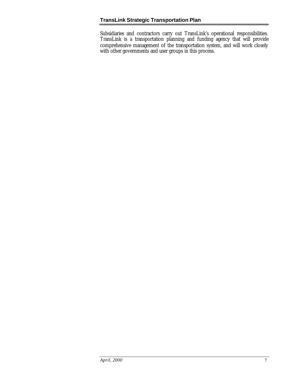Subsidiaries and contractors carry out TransLink's operational responsibilities. TransLink is a transportation planning and funding agency that will provide comprehensive management of the transportation system, and will work closely with other governments and user groups in this process.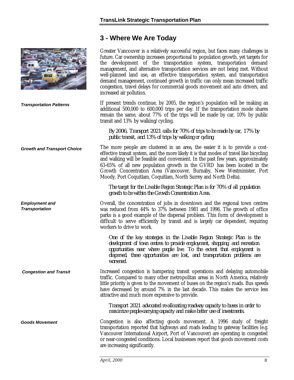## **3 - Where We Are Today**

<span id="page-10-0"></span>

|                                                | Greater Vancouver is a relatively successful region, but faces many challenges in<br>future. Car ownership increases proportional to population growth, yet targets for<br>the development of the transportation system, transportation demand<br>management, and alternative transportation services are not being met. Without<br>well-planned land use, an effective transportation system, and transportation<br>demand management, continued growth in traffic can only mean increased traffic<br>congestion, travel delays for commercial goods movement and auto drivers, and<br>increased air pollution. |
|------------------------------------------------|------------------------------------------------------------------------------------------------------------------------------------------------------------------------------------------------------------------------------------------------------------------------------------------------------------------------------------------------------------------------------------------------------------------------------------------------------------------------------------------------------------------------------------------------------------------------------------------------------------------|
| <b>Transportation Patterns</b>                 | If present trends continue, by 2005, the region's population will be making an<br>additional 500,000 to 600,000 trips per day. If the transportation mode shares<br>remain the same, about 77% of the trips will be made by car, 10% by public<br>transit and 13% by walking/cycling.                                                                                                                                                                                                                                                                                                                            |
|                                                | By 2006, Transport 2021 calls for 70% of trips to be made by car, 17% by<br>public transit, and 13% of trips by walking or cycling.                                                                                                                                                                                                                                                                                                                                                                                                                                                                              |
| <b>Growth and Transport Choice</b>             | The more people are clustered in an area, the easier it is to provide a cost-<br>effective transit system, and the more likely it is that modes of travel like bicycling<br>and walking will be feasible and convenient. In the past few years, approximately<br>63-65% of all new population growth in the GVRD has been located in the<br>Growth Concentration Area (Vancouver, Burnaby, New Westminister, Port<br>Moody, Port Coquitlam, Coquitlam, North Surrey and North Delta).                                                                                                                            |
|                                                | The target for the Livable Region Strategic Plan is for 70% of all population<br>growth to be within the Growth Concentration Area.                                                                                                                                                                                                                                                                                                                                                                                                                                                                              |
| <b>Employment and</b><br><b>Transportation</b> | Overall, the concentration of jobs in downtown and the regional town centres<br>was reduced from 44% to 37% between 1981 and 1996. The growth of office<br>parks is a good example of the dispersal problem. This form of development is<br>difficult to serve efficiently by transit and is largely car dependent, requiring<br>workers to drive to work.                                                                                                                                                                                                                                                       |
|                                                | One of the key strategies in the Livable Region Strategic Plan is the<br>development of town centres to provide employment, shopping, and recreation<br>opportunities near where people live. To the extent that employment is<br>dispersed, these opportunities are lost, and transportation problems are<br>worsened.                                                                                                                                                                                                                                                                                          |
| <b>Congestion and Transit</b>                  | Increased congestion is hampering transit operations and delaying automobile<br>traffic. Compared to many other metropolitan areas in North America, relatively<br>little priority is given to the movement of buses on the region's roads. Bus speeds<br>have decreased by around 7% in the last decade. This makes the service less<br>attractive and much more expensive to provide.                                                                                                                                                                                                                          |
|                                                | Transport 2021 advocated re-allocating roadway capacity to buses in order to<br>maximize people-carrying capacity and make better use of investments.                                                                                                                                                                                                                                                                                                                                                                                                                                                            |
| <b>Goods Movement</b>                          | Congestion is also affecting goods movement. A 1996 study of freight<br>transportation reported that highways and roads leading to gateway facilities (e.g.<br>Vancouver International Airport, Port of Vancouver) are operating in congested<br>or near-congested conditions. Local businesses report that goods movement costs<br>are increasing significantly.                                                                                                                                                                                                                                                |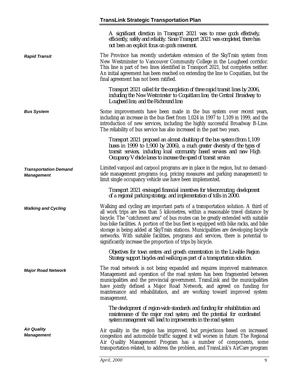*Rapid Transit*

*Bus System*

*Transportation Demand*

*Walking and Cycling*

*Major Road Network*

*Air Quality Management*

*Management*

*A significant direction in Transport 2021 was to move goods effectively, efficiently, safely and reliably. Since Transport 2021 was completed, there has not been an explicit focus on goods movement.*

The Province has recently undertaken extension of the SkyTrain system from New Westminster to Vancouver Community College in the Lougheed corridor. This line is part of two lines identified in Transport 2021, but completes neither. An initial agreement has been reached on extending the line to Coquitlam, but the final agreement has not been ratified.

> *Transport 2021 called for the completion of three rapid transit lines by 2006, including the New Westminster to Coquitlam line, the Central Broadway to Lougheed line, and the Richmond line.*

Some improvements have been made in the bus system over recent years, including an increase in the bus fleet from 1,024 in 1997 to 1,109 in 1999, and the introduction of new services, including the highly successful Broadway B-Line. The reliability of bus service has also increased in the past two years.

*Transport 2021 proposed an almost doubling of the bus system (from 1,109 buses in 1999 to 1,900 by 2006), a much greater diversity of the types of transit services, including local community based services and new High Occupancy Vehicle lanes to increase the speed of transit service.*

Limited vanpool and carpool programs are in place in the region, but no demandside management programs (e.g. pricing measures and parking management) to limit single occupancy vehicle use have been implemented.

*Transport 2021 envisaged financial incentives for telecommuting, development of a regional parking strategy, and implementation of tolls in 2000.*

Walking and cycling are important parts of a transportation solution. A third of all work trips are less than 5 kilometres, within a reasonable travel distance by bicycle. The "catchment area" of bus routes can be greatly extended with suitable bus-bike facilities. A portion of the bus fleet is equipped with bike racks, and bike storage is being added at SkyTrain stations. Municipalities are developing bicycle networks. With suitable facilities, programs and services, there is potential to significantly increase the proportion of trips by bicycle.

*Objectives for town centres and growth concentration in the Livable Region Strategy support bicycles and walking as part of a transportation solution.*

The road network is not being expanded and requires improved maintenance. Management and operation of the road system has been fragmented between municipalities and the provincial government. TransLink and the municipalities have jointly defined a Major Road Network, and agreed on funding for maintenance and rehabilitation, and are working toward improved system management.

*The development of region-wide standards and funding for rehabilitation and maintenance of the major road system, and the potential for coordinated system management will lead to improvements in the road system*.

Air quality in the region has improved, but projections based on increased congestion and automobile traffic suggest it will worsen in future. The Regional Air Quality Management Program has a number of components, some transportation-related, to address the problem, and TransLink's AirCare program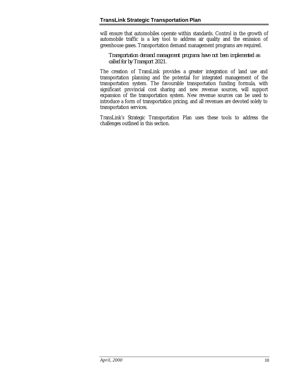will ensure that automobiles operate within standards. Control in the growth of automobile traffic is a key tool to address air quality and the emission of greenhouse gases. Transportation demand management programs are required.

*Transportation demand management programs have not been implemented as called for by Transport 2021.*

The creation of TransLink provides a greater integration of land use and transportation planning and the potential for integrated management of the transportation system. The favourable transportation funding formula, with significant provincial cost sharing and new revenue sources, will support expansion of the transportation system. New revenue sources can be used to introduce a form of transportation pricing, and all revenues are devoted solely to transportation services.

TransLink's Strategic Transportation Plan uses these tools to address the challenges outlined in this section.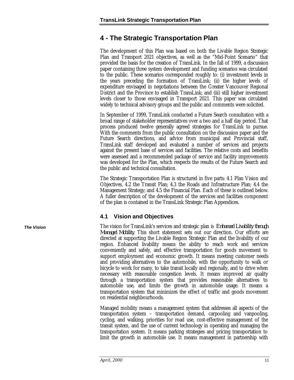### <span id="page-13-0"></span>**4 - The Strategic Transportation Plan**

The development of this Plan was based on both the Livable Region Strategic Plan and Transport 2021 objectives, as well as the "Mid-Point Scenario" that provided the basis for the creation of TransLink. In the fall of 1999, a discussion paper containing three system development and funding scenarios was circulated to the public. These scenarios corresponded roughly to: (i) investment levels in the years preceding the formation of TransLink; (ii) the higher levels of expenditure envisaged in negotiations between the Greater Vancouver Regional District and the Province to establish TransLink; and (iii) still higher investment levels closer to those envisaged in Transport 2021. This paper was circulated widely to technical advisory groups and the public and comments were solicited.

In September of 1999, TransLink conducted a Future Search consultation with a broad range of stakeholder representatives over a two and a half day period. That process produced twelve generally agreed strategies for TransLink to pursue. With the comments from the public consultation on the discussion paper and the Future Search directions, and advice from municipal and Provincial staff, TransLink staff developed and evaluated a number of services and projects against the present base of services and facilities. The relative costs and benefits were assessed and a recommended package of service and facility improvements was developed for the Plan, which respects the results of the Future Search and the public and technical consultation.

The Strategic Transportation Plan is structured in five parts: 4.1 Plan Vision and Objectives, 4.2 the Transit Plan; 4.3 the Roads and Infrastructure Plan; 4.4 the Management Strategy; and 4.5 the Financial Plan. Each of these is outlined below. A fuller description of the development of the services and facilities component of the plan is contained in the TransLink Strategic Plan Appendices.

#### **4.1 Vision and Objectives**

The vision for TransLink's services and strategic plan is *Enhanced Livability through Managed Mobility*. This short statement sets out our direction. Our efforts are directed at supporting the Livable Region Strategic Plan and the livability of our region. Enhanced livability means the ability to reach work and services conveniently and safely, and effective transportation for goods movement to support employment and economic growth. It means meeting customer needs and providing alternatives to the automobile, with the opportunity to walk or bicycle to work for many, to take transit locally and regionally, and to drive when necessary with reasonable congestion levels. It means improved air quality through a transportation system that provides reasonable alternatives to automobile use, and limits the growth in automobile usage. It means a transportation system that minimizes the effect of traffic and goods movement on residential neighbourhoods.

Managed mobility means a management system that addresses all aspects of the transportation system – transportation demand, carpooling and vanpooling, cycling, and walking, priorities for road use, cost-effective management of the transit system, and the use of current technology in operating and managing the transportation system. It means parking strategies and pricing transportation to limit the growth in automobile use. It means management in partnership with

*The Vision*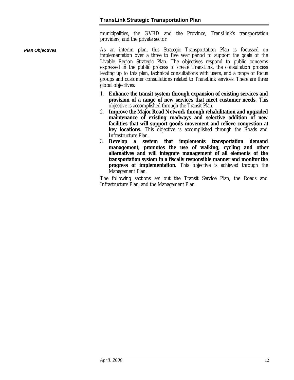municipalities, the GVRD and the Province, TransLink's transportation providers, and the private sector.

As an interim plan, this Strategic Transportation Plan is focussed on implementation over a three to five year period to support the goals of the Livable Region Strategic Plan. The objectives respond to public concerns expressed in the public process to create TransLink, the consultation process leading up to this plan, technical consultations with users, and a range of focus groups and customer consultations related to TransLink services. There are three global objectives: *Plan Objectives*

- 1. **Enhance the transit system through expansion of existing services and provision of a range of new services that meet customer needs.** This objective is accomplished through the Transit Plan.
- 2. **Improve the Major Road Network through rehabilitation and upgraded maintenance of existing roadways and selective addition of new facilities that will support goods movement and relieve congestion at key locations.** This objective is accomplished through the Roads and Infrastructure Plan.
- 3. **Develop a system that implements transportation demand management, promotes the use of walking, cycling and other alternatives and will integrate management of all elements of the transportation system in a fiscally responsible manner and monitor the progress of implementation.** This objective is achieved through the Management Plan.

The following sections set out the Transit Service Plan, the Roads and Infrastructure Plan, and the Management Plan.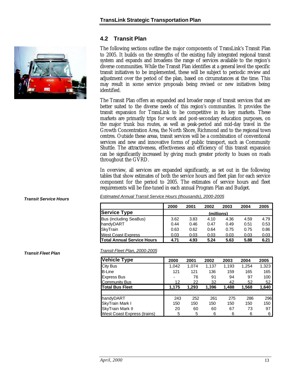#### <span id="page-15-0"></span>**4.2 Transit Plan**

The following sections outline the major components of TransLink's Transit Plan to 2005. It builds on the strengths of the existing fully integrated regional transit system and expands and broadens the range of services available to the region's diverse communities. While the Transit Plan identifies at a general level the specific transit initiatives to be implemented, these will be subject to periodic review and adjustment over the period of the plan, based on circumstances at the time. This may result in some service proposals being revised or new initiatives being identified.

The Transit Plan offers an expanded and broader range of transit services that are better suited to the diverse needs of this region's communities. It provides the transit expansion for TransLink to be competitive in its key markets. These markets are primarily trips for work and post-secondary education purposes, on the major trunk bus routes, as well as peak-period and mid-day travel in the Growth Concentration Area, the North Shore, Richmond and to the regional town centres. Outside these areas, transit services will be a combination of conventional services and new and innovative forms of public transport, such as Community Shuttle. The attractiveness, effectiveness and efficiency of this transit expansion can be significantly increased by giving much greater priority to buses on roads throughout the GVRD.

In overview, all services are expanded significantly, as set out in the following tables that show estimates of both the service hours and fleet plan for each service component for the period to 2005. The estimates of service hours and fleet requirements will be fine-tuned in each annual Program Plan and Budget.

| Estimated Annual Transit Service Hours (thousands), 2000-2005 |
|---------------------------------------------------------------|
|---------------------------------------------------------------|

|                                   | 2000       | 2001 | 2002 | 2003 | 2004 | 2005 |  |  |  |
|-----------------------------------|------------|------|------|------|------|------|--|--|--|
| <b>Service Type</b>               | (millions) |      |      |      |      |      |  |  |  |
| <b>Bus (including SeaBus)</b>     | 3.62       | 3.83 | 4.10 | 4.36 | 4.59 | 4.79 |  |  |  |
| handyDART                         | 0.44       | 0.46 | 0.47 | 0.49 | 0.51 | 0.53 |  |  |  |
| <b>SkyTrain</b>                   | 0.63       | 0.62 | 0.64 | 0.75 | 0.75 | 0.86 |  |  |  |
| <b>West Coast Express</b>         | 0.03       | 0.03 | 0.03 | 0.03 | 0.03 | 0.03 |  |  |  |
| <b>Total Annual Service Hours</b> | 4.71       | 4.93 | 5.24 | 5.63 | 5.88 | 6.21 |  |  |  |

*Transit Fleet Plan, 2000-2005*

| <b>Vehicle Type</b>         | 2000  | 2001  | 2002  | 2003  | 2004  | 2005  |
|-----------------------------|-------|-------|-------|-------|-------|-------|
| <b>City Bus</b>             | 1,042 | 1,074 | 1,137 | 1,193 | 1,254 | 1,323 |
| <b>B-Line</b>               | 121   | 121   | 136   | 159   | 165   | 165   |
| <b>Express Bus</b>          |       | 76    | 91    | 94    | 97    | 100   |
| <b>Community Bus</b>        | 12    | 22    | 32    | 42    | 52    | 52    |
| <b>Total Bus Fleet</b>      | 1,175 | 1,293 | 1,396 | 1,488 | 1,568 | 1,640 |
|                             |       |       |       |       |       |       |
| handyDART                   | 243   | 252   | 261   | 275   | 286   | 296   |
| SkyTrain Mark I             | 150   | 150   | 150   | 150   | 150   | 150   |
| <b>SkyTrain Mark II</b>     | 20    | 60    | 60    | 67    | 73    | 97    |
| West Coast Express (trains) | 5     | 5     | 6     | 6     | 6     | 6     |



*Transit Service Hours*

*Transit Fleet Plan*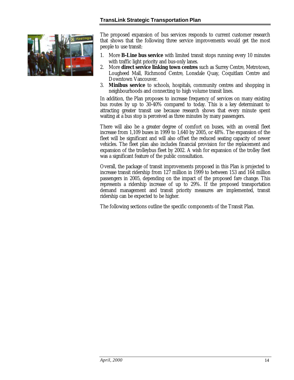

The proposed expansion of bus services responds to current customer research that shows that the following three service improvements would get the most people to use transit:

- 1. More **B-Line bus service** with limited transit stops running every 10 minutes with traffic light priority and bus-only lanes.
- 2. More **direct service linking town centres** such as Surrey Centre, Metrotown, Lougheed Mall, Richmond Centre, Lonsdale Quay, Coquitlam Centre and Downtown Vancouver.
- 3. **Minibus service** to schools, hospitals, community centres and shopping in neighbourhoods and connecting to high volume transit lines.

In addition, the Plan proposes to increase frequency of services on many existing bus routes by up to 30-40% compared to today. This is a key determinant to attracting greater transit use because research shows that every minute spent waiting at a bus stop is perceived as three minutes by many passengers.

There will also be a greater degree of comfort on buses, with an overall fleet increase from 1,109 buses in 1999 to 1,640 by 2005, or 48%. The expansion of the fleet will be significant and will also offset the reduced seating capacity of newer vehicles. The fleet plan also includes financial provision for the replacement and expansion of the trolleybus fleet by 2002. A wish for expansion of the trolley fleet was a significant feature of the public consultation.

Overall, the package of transit improvements proposed in this Plan is projected to increase transit ridership from 127 million in 1999 to between 153 and 164 million passengers in 2005, depending on the impact of the proposed fare change. This represents a ridership increase of up to 29%. If the proposed transportation demand management and transit priority measures are implemented, transit ridership can be expected to be higher.

The following sections outline the specific components of the Transit Plan.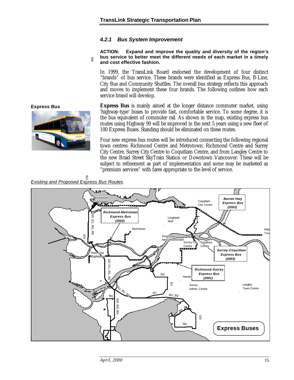#### *4.2.1 Bus System Improvement*

#### **ACTION: Expand and improve the quality and diversity of the region's bus service to better meet the different needs of each market in a timely** 106 **and cost effective fashion.**

In 1999, the TransLink Board endorsed the development of four distinct "brands" of bus service. These brands were identified as Express Bus, B-Line, City Bus and Community Shuttles. The overall bus strategy reflects this approach and moves to implement these four brands. The following outlines how each service brand will develop.

**Express Bus** is mainly aimed at the longer distance commuter market, using 'highway-type' buses to provide fast, comfortable service. To some degree, it is the bus equivalent of commuter rail. As shown in the map, existing express bus routes using Highway 99 will be improved in the next 5 years using a new fleet of 100 Express Buses. Standing should be eliminated on these routes.

Four new express bus routes will be introduced connecting the following regional town centres: Richmond Centre and Metrotown, Richmond Centre and Surrey City Centre, Surrey City Centre to Coquitlam Centre, and from Langley Centre to the new Braid Street SkyTrain Station or Downtown Vancouver. These will be subject to refinement as part of implementation and some may be marketed as "premium services" with fares appropriate to the level of service.

*Existing and Proposed Express Bus Routes*



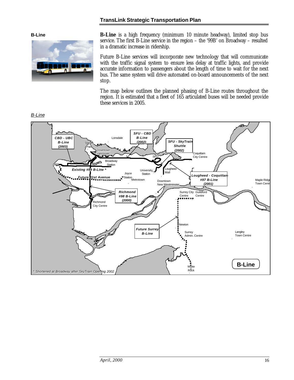**B-Line**



**B-Line** is a high frequency (minimum 10 minute headway), limited stop bus service. The first B-Line service in the region – the '99B' on Broadway – resulted in a dramatic increase in ridership.

Future B-Line services will incorporate new technology that will communicate with the traffic signal system to ensure less delay at traffic lights, and provide accurate information to passengers about the length of time to wait for the next bus. The same system will drive automated on-board announcements of the next stop.

The map below outlines the planned phasing of B-Line routes throughout the region. It is estimated that a fleet of 165 articulated buses will be needed provide these services in 2005.



#### *B-Line*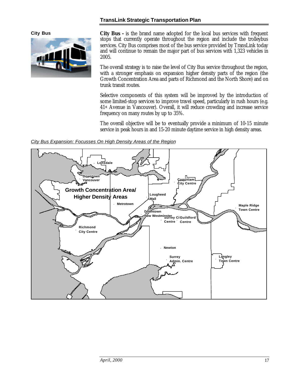**City Bus**



**City Bus -** is the brand name adopted for the local bus services with frequent stops that currently operate throughout the region and include the trolleybus services. City Bus comprises most of the bus service provided by TransLink today and will continue to remain the major part of bus services with 1,323 vehicles in 2005.

The overall strategy is to raise the level of City Bus service throughout the region, with a stronger emphasis on expansion higher density parts of the region (the Growth Concentration Area and parts of Richmond and the North Shore) and on trunk transit routes.

Selective components of this system will be improved by the introduction of some limited-stop services to improve travel speed, particularly in rush hours (e.g. 41st Avenue in Vancouver). Overall, it will reduce crowding and increase service frequency on many routes by up to 35%.

The overall objective will be to eventually provide a minimum of 10-15 minute service in peak hours in and 15-20 minute daytime service in high density areas.

*City Bus Expansion: Focusses On High Density Areas of the Region*

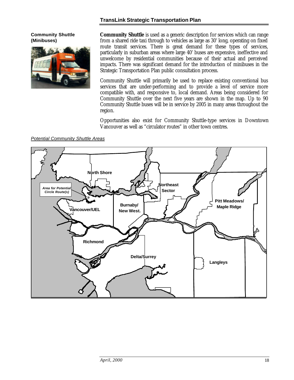#### **Community Shuttle (Minibuses)**



**Community Shuttle** is used as a generic description for services which can range from a shared ride taxi through to vehicles as large as 30' long, operating on fixed route transit services. There is great demand for these types of services, particularly in suburban areas where large 40' buses are expensive, ineffective and unwelcome by residential communities because of their actual and perceived impacts. There was significant demand for the introduction of minibuses in the Strategic Transportation Plan public consultation process.

Community Shuttle will primarily be used to replace existing conventional bus services that are under-performing and to provide a level of service more compatible with, and responsive to, local demand. Areas being considered for Community Shuttle over the next five years are shown in the map. Up to 90 Community Shuttle buses will be in service by 2005 in many areas throughout the region.

Opportunities also exist for Community Shuttle-type services in Downtown Vancouver as well as "circulator routes" in other town centres.

*Potential Community Shuttle Areas*

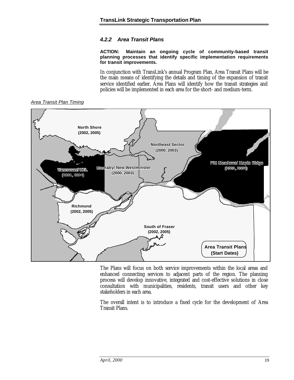#### *4.2.2 Area Transit Plans*

**ACTION: Maintain an ongoing cycle of community-based transit planning processes that identify specific implementation requirements for transit improvements.**

In conjunction with TransLink's annual Program Plan, Area Transit Plans will be the main means of identifying the details and timing of the expansion of transit service identified earlier. Area Plans will identify how the transit strategies and policies will be implemented in each area for the short- and medium-term.



The Plans will focus on both service improvements within the local areas and enhanced connecting services to adjacent parts of the region. The planning process will develop innovative, integrated and cost-effective solutions in close consultation with municipalities, residents, transit users and other key stakeholders in each area.

The overall intent is to introduce a fixed cycle for the development of Area Transit Plans.

*Area Transit Plan Timing*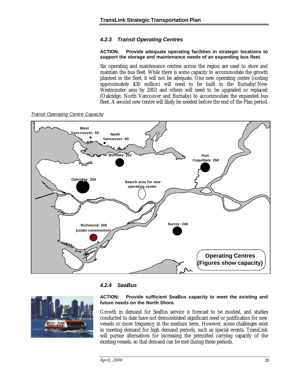#### *4.2.3 Transit Operating Centres*

#### **ACTION: Provide adequate operating facilities in strategic locations to support the storage and maintenance needs of an expanding bus fleet.**

Six operating and maintenance centres across the region are used to store and maintain the bus fleet. While there is some capacity to accommodate the growth planned in the fleet, it will not be adequate. One new operating centre (costing approximately \$30 million) will need to be built in the Burnaby/New Westminster area by 2003 and others will need to be upgraded or replaced (Oakridge, North Vancouver and Burnaby) to accommodate the expanded bus fleet. A second new centre will likely be needed before the end of the Plan period.



*Transit Operating Centre Capacity*

#### *4.2.4 SeaBus*



#### **ACTION: Provide sufficient SeaBus capacity to meet the existing and future needs on the North Shore.**

Growth in demand for SeaBus service is forecast to be modest, and studies conducted to date have not demonstrated significant need or justification for new vessels or more frequency in the medium term. However, some challenges exist in meeting demand for high demand periods, such as special events. TransLink will pursue alternatives for increasing the permitted carrying capacity of the existing vessels, so that demand can be met during these periods.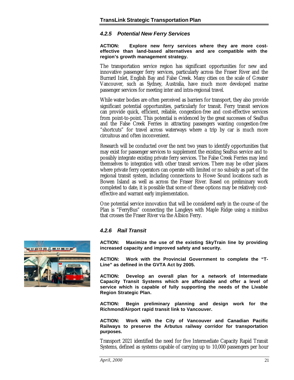#### *4.2.5 Potential New Ferry Services*

**ACTION: Explore new ferry services where they are more costeffective than land-based alternatives and are compatible with the region's growth management strategy.**

The transportation service region has significant opportunities for new and innovative passenger ferry services, particularly across the Fraser River and the Burrard Inlet, English Bay and False Creek. Many cities on the scale of Greater Vancouver, such as Sydney, Australia, have much more developed marine passenger services for meeting inter and intra-regional travel.

While water bodies are often perceived as barriers for transport, they also provide significant potential opportunities, particularly for transit. Ferry transit services can provide quick, efficient, reliable, congestion-free and cost-effective services from point-to-point. This potential is evidenced by the great successes of SeaBus and the False Creek Ferries in attracting passengers wanting congestion-free "shortcuts" for travel across waterways where a trip by car is much more circuitous and often inconvenient.

Research will be conducted over the next two years to identify opportunities that may exist for passenger services to supplement the existing SeaBus service and to possibly integrate existing private ferry services. The False Creek Ferries may lend themselves to integration with other transit services. There may be other places where private ferry operators can operate with limited or no subsidy as part of the regional transit system, including connections to Howe Sound locations such as Bowen Island as well as across the Fraser River. Based on preliminary work completed to date, it is possible that some of these options may be relatively costeffective and warrant early implementation.

One potential service innovation that will be considered early in the course of the Plan is "FerryBus" connecting the Langleys with Maple Ridge using a minibus that crosses the Fraser River via the Albion Ferry.

#### *4.2.6 Rail Transit*

**ACTION: Maximize the use of the existing SkyTrain line by providing increased capacity and improved safety and security.**

**ACTION: Work with the Provincial Government to complete the "T-Line" as defined in the GVTA Act by 2005.**

**ACTION: Develop an overall plan for a network of Intermediate Capacity Transit Systems which are affordable and offer a level of service which is capable of fully supporting the needs of the Livable Region Strategic Plan.**

**ACTION: Begin preliminary planning and design work for the Richmond/Airport rapid transit link to Vancouver.**

**ACTION: Work with the City of Vancouver and Canadian Pacific Railways to preserve the Arbutus railway corridor for transportation purposes.**

Transport 2021 identified the need for five Intermediate Capacity Rapid Transit Systems, defined as systems capable of carrying up to 10,000 passengers per hour

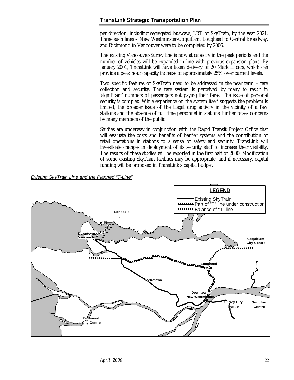per direction, including segregated busways, LRT or SkyTrain, by the year 2021. Three such lines – New Westminster-Coquitlam, Lougheed to Central Broadway, and Richmond to Vancouver were to be completed by 2006.

The existing Vancouver-Surrey line is now at capacity in the peak periods and the number of vehicles will be expanded in line with previous expansion plans. By January 2001, TransLink will have taken delivery of 20 Mark II cars, which can provide a peak hour capacity increase of approximately 25% over current levels.

Two specific features of SkyTrain need to be addressed in the near term – fare collection and security. The fare system is perceived by many to result in 'significant' numbers of passengers not paying their fares. The issue of personal security is complex. While experience on the system itself suggests the problem is limited, the broader issue of the illegal drug activity in the vicinity of a few stations and the absence of full time personnel in stations further raises concerns by many members of the public.

Studies are underway in conjunction with the Rapid Transit Project Office that will evaluate the costs and benefits of barrier systems and the contribution of retail operations in stations to a sense of safety and security. TransLink will investigate changes in deployment of its security staff to increase their visibility. The results of these studies will be reported in the first half of 2000. Modification of some existing SkyTrain facilities may be appropriate, and if necessary, capital funding will be proposed in TransLink's capital budget.

*Existing SkyTrain Line and the Planned "T-Line"*

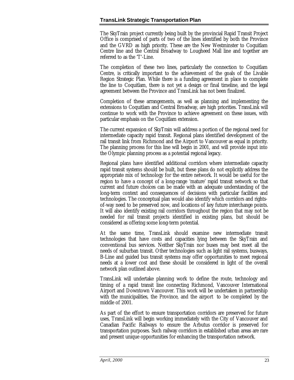The SkyTrain project currently being built by the provincial Rapid Transit Project Office is comprised of parts of two of the lines identified by both the Province and the GVRD as high priority. These are the New Westminster to Coquitlam Centre line and the Central Broadway to Lougheed Mall line and together are referred to as the 'T'-Line.

The completion of these two lines, particularly the connection to Coquitlam Centre, is critically important to the achievement of the goals of the Livable Region Strategic Plan. While there is a funding agreement in place to complete the line to Coquitlam, there is not yet a design or final timeline, and the legal agreement between the Province and TransLink has not been finalized.

Completion of these arrangements, as well as planning and implementing the extensions to Coquitlam and Central Broadway, are high priorities. TransLink will continue to work with the Province to achieve agreement on these issues, with particular emphasis on the Coquitlam extension.

The current expansion of SkyTrain will address a portion of the regional need for intermediate capacity rapid transit. Regional plans identified development of the rail transit link from Richmond and the Airport to Vancouver as equal in priority. The planning process for this line will begin in 2001, and will provide input into the Olympic planning process as a potential regional legacy.

Regional plans have identified additional corridors where intermediate capacity rapid transit systems should be built, but these plans do not explicitly address the appropriate mix of technology for the entire network. It would be useful for the region to have a concept of a long-range 'mature' rapid transit network so that current and future choices can be made with an adequate understanding of the long-term context and consequences of decisions with particular facilities and technologies. The conceptual plan would also identify which corridors and rightsof-way need to be preserved now, and locations of key future interchange points. It will also identify existing rail corridors throughout the region that may not be needed for rail transit projects identified in existing plans, but should be considered as offering some long-term potential.

At the same time, TransLink should examine new intermediate transit technologies that have costs and capacities lying between the SkyTrain and conventional bus services. Neither SkyTrain nor buses may best meet all the needs of suburban transit. Other technologies such as light rail systems, busways, B-Line and guided bus transit systems may offer opportunities to meet regional needs at a lower cost and these should be considered in light of the overall network plan outlined above.

TransLink will undertake planning work to define the route, technology and timing of a rapid transit line connecting Richmond, Vancouver International Airport and Downtown Vancouver. This work will be undertaken in partnership with the municipalities, the Province, and the airport to be completed by the middle of 2001.

As part of the effort to ensure transportation corridors are preserved for future uses, TransLink will begin working immediately with the City of Vancouver and Canadian Pacific Railways to ensure the Arbutus corridor is preserved for transportation purposes. Such railway corridors in established urban areas are rare and present unique opportunities for enhancing the transportation network.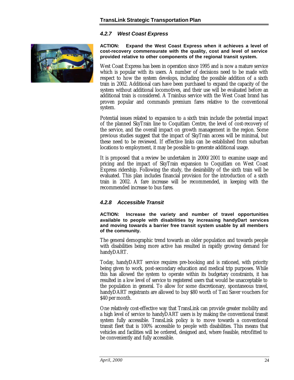#### *4.2.7 West Coast Express*



**ACTION: Expand the West Coast Express when it achieves a level of cost-recovery commensurate with the quality, cost and level of service provided relative to other components of the regional transit system.**

West Coast Express has been in operation since 1995 and is now a mature service which is popular with its users. A number of decisions need to be made with respect to how the system develops, including the possible addition of a sixth train in 2002. Additional cars have been purchased to expand the capacity of the system without additional locomotives, and their use will be evaluated before an additional train is considered. A Trainbus service with the West Coast brand has proven popular and commands premium fares relative to the conventional system.

Potential issues related to expansion to a sixth train include the potential impact of the planned SkyTrain line to Coquitlam Centre, the level of cost-recovery of the service, and the overall impact on growth management in the region. Some previous studies suggest that the impact of SkyTrain access will be minimal, but these need to be reviewed. If effective links can be established from suburban locations to employment, it may be possible to generate additional usage.

It is proposed that a review be undertaken in 2000/2001 to examine usage and pricing and the impact of SkyTrain expansion to Coquitlam on West Coast Express ridership. Following the study, the desirability of the sixth train will be evaluated. This plan includes financial provision for the introduction of a sixth train in 2002. A fare increase will be recommended, in keeping with the recommended increase to bus fares.

#### *4.2.8 Accessible Transit*

**ACTION: Increase the variety and number of travel opportunities available to people with disabilities by increasing handyDart services and moving towards a barrier free transit system usable by all members of the community.**

The general demographic trend towards an older population and towards people with disabilities being more active has resulted in rapidly growing demand for handyDART.

Today, handyDART service requires pre-booking and is rationed, with priority being given to work, post-secondary education and medical trip purposes. While this has allowed the system to operate within its budgetary constraints, it has resulted in a low level of service to registered users that would be unacceptable to the population in general. To allow for some discretionary, spontaneous travel, handyDART registrants are allowed to buy \$80 worth of Taxi Saver vouchers for \$40 per month.

One relatively cost-effective way that TransLink can provide greater mobility and a high level of service to handyDART users is by making the conventional transit system fully accessible. TransLink policy is to move towards a conventional transit fleet that is 100% accessible to people with disabilities. This means that vehicles and facilities will be ordered, designed and, where feasible, retrofitted to be conveniently and fully accessible.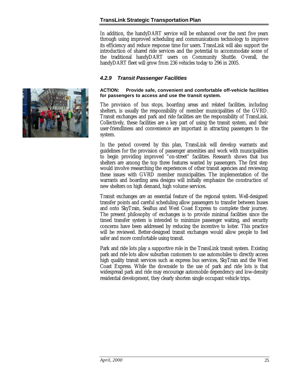In addition, the handyDART service will be enhanced over the next five years through using improved scheduling and communications technology to improve its efficiency and reduce response time for users. TransLink will also support the introduction of shared ride services and the potential to accommodate some of the traditional handyDART users on Community Shuttle. Overall, the handyDART fleet will grow from 236 vehicles today to 296 in 2005.

#### *4.2.9 Transit Passenger Facilities*

#### **ACTION: Provide safe, convenient and comfortable off-vehicle facilities for passengers to access and use the transit system.**

The provision of bus stops, boarding areas and related facilities, including shelters, is usually the responsibility of member municipalities of the GVRD. Transit exchanges and park and ride facilities are the responsibility of TransLink. Collectively, these facilities are a key part of using the transit system, and their user-friendliness and convenience are important in attracting passengers to the system.

In the period covered by this plan, TransLink will develop warrants and guidelines for the provision of passenger amenities and work with municipalities to begin providing improved "on-street" facilities. Research shows that bus shelters are among the top three features wanted by passengers. The first step would involve researching the experiences of other transit agencies and reviewing these issues with GVRD member municipalities. The implementation of the warrants and boarding area designs will initially emphasize the construction of new shelters on high demand, high volume services.

Transit exchanges are an essential feature of the regional system. Well-designed transfer points and careful scheduling allow passengers to transfer between buses and onto SkyTrain, SeaBus and West Coast Express to complete their journey. The present philosophy of exchanges is to provide minimal facilities since the timed transfer system is intended to minimize passenger waiting, and security concerns have been addressed by reducing the incentive to loiter. This practice will be reviewed. Better-designed transit exchanges would allow people to feel safer and more comfortable using transit.

Park and ride lots play a supportive role in the TransLink transit system. Existing park and ride lots allow suburban customers to use automobiles to directly access high quality transit services such as express bus services, SkyTrain and the West Coast Express. While the downside to the use of park and ride lots is that widespread park and ride may encourage automobile dependency and low-density residential development, they clearly shorten single occupant vehicle trips.

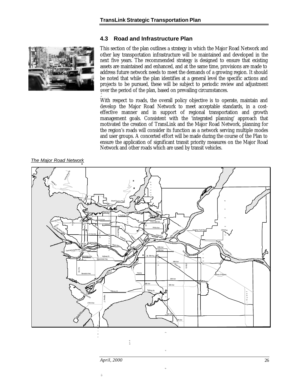#### **4.3 Road and Infrastructure Plan**

<span id="page-28-0"></span>

This section of the plan outlines a strategy in which the Major Road Network and other key transportation infrastructure will be maintained and developed in the next five years. The recommended strategy is designed to ensure that existing assets are maintained and enhanced, and at the same time, provisions are made to address future network needs to meet the demands of a growing region. It should be noted that while the plan identifies at a general level the specific actions and projects to be pursued, these will be subject to periodic review and adjustment over the period of the plan, based on prevailing circumstances.

With respect to roads, the overall policy objective is to operate, maintain and develop the Major Road Network to meet acceptable standards, in a costeffective manner and in support of regional transportation and growth management goals. Consistent with the 'integrated planning' approach that motivated the creation of TransLink and the Major Road Network, planning for the region's roads will consider its function as a network serving multiple modes and user groups. A concerted effort will be made during the course of the Plan to ensure the application of significant transit priority measures on the Major Road Network and other roads which are used by transit vehicles.

#### *The Major Road Network*



 $\bar{a}$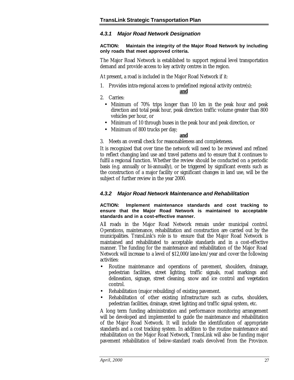#### *4.3.1 Major Road Network Designation*

#### **ACTION: Maintain the integrity of the Major Road Network by including only roads that meet approved criteria.**

The Major Road Network is established to support regional level transportation demand and provide access to key activity centres in the region.

At present, a road is included in the Major Road Network if it:

1. Provides intra-regional access to predefined regional activity centre(s);

**and**

- 2. Carries:
	- Minimum of 70% trips longer than 10 km in the peak hour and peak direction and total peak hour, peak direction traffic volume greater than 800 vehicles per hour, or
	- Minimum of 10 through buses in the peak hour and peak direction, or
	- Minimum of 800 trucks per day;

#### **and**

3. Meets an overall check for reasonableness and completeness.

It is recognized that over time the network will need to be reviewed and refined to reflect changing land use and travel patterns and to ensure that it continues to fulfil a regional function. Whether the review should be conducted on a periodic basis (e.g. annually or bi-annually), or be triggered by significant events such as the construction of a major facility or significant changes in land use, will be the subject of further review in the year 2000.

#### *4.3.2 Major Road Network Maintenance and Rehabilitation*

#### **ACTION: Implement maintenance standards and cost tracking to ensure that the Major Road Network is maintained to acceptable standards and in a cost-effective manner.**

All roads in the Major Road Network remain under municipal control. Operations, maintenance, rehabilitation and construction are carried out by the municipalities. TransLink's role is to ensure that the Major Road Network is maintained and rehabilitated to acceptable standards and in a cost-effective manner. The funding for the maintenance and rehabilitation of the Major Road Network will increase to a level of \$12,000/lane-km/year and cover the following activities:

- Routine maintenance and operations of pavement, shoulders, drainage, pedestrian facilities, street lighting, traffic signals, road markings and delineation, signage, street cleaning, snow and ice control and vegetation control.
- Rehabilitation (major rebuilding) of existing pavement.
- Rehabilitation of other existing infrastructure such as curbs, shoulders, pedestrian facilities, drainage, street lighting and traffic signal system, etc.

A long term funding administration and performance monitoring arrangement will be developed and implemented to guide the maintenance and rehabilitation of the Major Road Network. It will include the identification of appropriate standards and a cost tracking system. In addition to the routine maintenance and rehabilitation on the Major Road Network, TransLink will also be funding major pavement rehabilitation of below-standard roads devolved from the Province.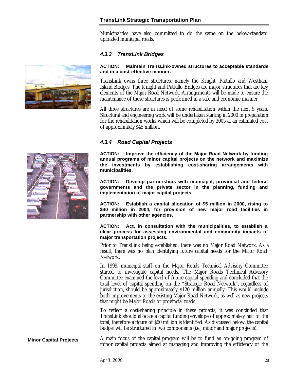Municipalities have also committed to do the same on the below-standard uploaded municipal roads.

#### *4.3.3 TransLink Bridges*

#### **ACTION: Maintain TransLink-owned structures to acceptable standards and in a cost-effective manner.**

TransLink owns three structures, namely the Knight, Pattullo and Westham Island Bridges. The Knight and Pattullo Bridges are major structures that are key elements of the Major Road Network. Arrangements will be made to ensure the maintenance of these structures is performed in a safe and economic manner.

All three structures are in need of some rehabilitation within the next 5 years. Structural and engineering work will be undertaken starting in 2000 in preparation for the rehabilitation works which will be completed by 2005 at an estimated cost of approximately \$45 million.

#### *4.3.4 Road Capital Projects*

**ACTION: Improve the efficiency of the Major Road Network by funding annual programs of minor capital projects on the network and maximize the investments by establishing cost-sharing arrangements with municipalities.**

**ACTION: Develop partnerships with municipal, provincial and federal governments and the private sector in the planning, funding and implementation of major capital projects.**

**ACTION: Establish a capital allocation of \$5 million in 2000, rising to \$40 million in 2004, for provision of new major road facilities in partnership with other agencies.**

**ACTION: Act, in consultation with the municipalities, to establish a clear process for assessing environmental and community impacts of major transportation projects.**

Prior to TransLink being established, there was no Major Road Network. As a result, there was no plan identifying future capital needs for the Major Road Network.

In 1999, municipal staff on the Major Roads Technical Advisory Committee started to investigate capital needs. The Major Roads Technical Advisory Committee examined the level of future capital spending and concluded that the total level of capital spending on the "Strategic Road Network", regardless of jurisdiction, should be approximately \$120 million annually. This would include both improvements to the existing Major Road Network, as well as new projects that might be Major Roads or provincial roads.

To reflect a cost-sharing principle in these projects, it was concluded that TransLink should allocate a capital funding envelope of approximately half of the total; therefore a figure of \$60 million is identified. As discussed below, the capital budget will be structured in two components (i.e., minor and major projects).

A main focus of the capital program will be to fund an on-going program of minor capital projects aimed at managing and improving the efficiency of the



**Minor Capital Projects**

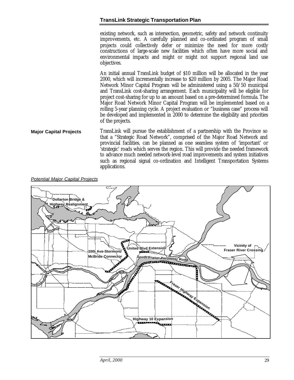existing network, such as intersection, geometric, safety and network continuity improvements, etc. A carefully planned and co-ordinated program of small projects could collectively defer or minimize the need for more costly constructions of large-scale new facilities which often have more social and environmental impacts and might or might not support regional land use objectives.

An initial annual TransLink budget of \$10 million will be allocated in the year 2000, which will incrementally increase to \$20 million by 2005. The Major Road Network Minor Capital Program will be administered using a 50/50 municipal and TransLink cost-sharing arrangement. Each municipality will be eligible for project cost-sharing for up to an amount based on a pre-determined formula. The Major Road Network Minor Capital Program will be implemented based on a rolling 5-year planning cycle. A project evaluation or "business case" process will be developed and implemented in 2000 to determine the eligibility and priorities of the projects.

TransLink will pursue the establishment of a partnership with the Province so that a "Strategic Road Network", comprised of the Major Road Network and provincial facilities, can be planned as one seamless system of 'important' or 'strategic' roads which serves the region. This will provide the needed framework to advance much needed network-level road improvements and system initiatives such as regional signal co-ordination and Intelligent Transportation Systems applications. **Major Capital Projects**

#### *Potential Major Capital Projects*

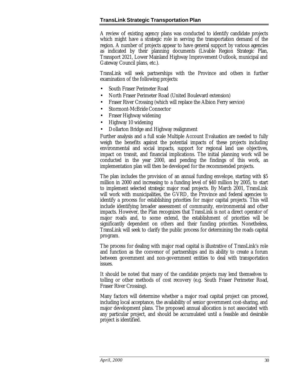A review of existing agency plans was conducted to identify candidate projects which might have a strategic role in serving the transportation demand of the region. A number of projects appear to have general support by various agencies as indicated by their planning documents (Livable Region Strategic Plan, Transport 2021, Lower Mainland Highway Improvement Outlook, municipal and Gateway Council plans, etc.).

TransLink will seek partnerships with the Province and others in further examination of the following projects:

- South Fraser Perimeter Road
- North Fraser Perimeter Road (United Boulevard extension)
- Fraser River Crossing (which will replace the Albion Ferry service)
- Stormont-McBride Connector
- Fraser Highway widening
- Highway 10 widening
- Dollarton Bridge and Highway realignment

Further analysis and a full scale Multiple Account Evaluation are needed to fully weigh the benefits against the potential impacts of these projects including environmental and social impacts, support for regional land use objectives, impact on transit, and financial implications. The initial planning work will be conducted in the year 2000, and pending the findings of this work, an implementation plan will then be developed for the recommended projects.

The plan includes the provision of an annual funding envelope, starting with \$5 million in 2000 and increasing to a funding level of \$40 million by 2005, to start to implement selected strategic major road projects. By March 2001, TransLink will work with municipalities, the GVRD, the Province and federal agencies to identify a process for establishing priorities for major capital projects. This will include identifying broader assessment of community, environmental and other impacts. However, the Plan recognizes that TransLink is not a direct operator of major roads and, to some extend, the establishment of priorities will be significantly dependent on others and their funding priorities. Nonetheless, TransLink will seek to clarify the public process for determining the roads capital program.

The process for dealing with major road capital is illustrative of TransLink's role and function as the convenor of partnerships and its ability to create a forum between government and non-government entities to deal with transportation issues.

It should be noted that many of the candidate projects may lend themselves to tolling or other methods of cost recovery (e.g. South Fraser Perimeter Road, Fraser River Crossing).

Many factors will determine whether a major road capital project can proceed, including local acceptance, the availability of senior government cost-sharing, and major development plans. The proposed annual allocation is not associated with any particular project, and should be accumulated until a feasible and desirable project is identified.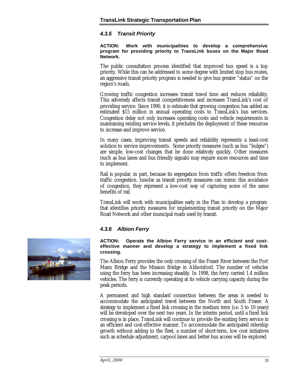#### *4.3.5 Transit Priority*

#### **ACTION: Work with municipalities to develop a comprehensive program for providing priority to TransLink buses on the Major Road Network.**

The public consultation process identified that improved bus speed is a top priority. While this can be addressed to some degree with limited stop bus routes, an aggressive transit priority program is needed to give bus greater "status" on the region's roads.

Growing traffic congestion increases transit travel time and reduces reliability. This adversely affects transit competitiveness and increases TransLink's cost of providing service. Since 1990, it is estimate that growing congestion has added an estimated \$15 million in annual operating costs to TransLink's bus services. Congestion delay not only increases operating costs and vehicle requirements in maintaining existing service levels, it precludes the deployment of these resources to increase and improve service.

In many cases, improving transit speeds and reliability represents a least-cost solution to service improvements. Some priority measures (such as bus "bulges") are simple, low-cost changes that be done relatively quickly. Other measures (such as bus lanes and bus friendly signals) may require more resources and time to implement.

Rail is popular, in part, because its segregation from traffic offers freedom from traffic congestion. Insofar as transit priority measures can mimic this avoidance of congestion, they represent a low-cost way of capturing some of the same benefits of rail.

TransLink will work with municipalities early in the Plan to develop a program that identifies priority measures for implementing transit priority on the Major Road Network and other municipal roads used by transit.

#### *4.3.6 Albion Ferry*

#### **ACTION: Operate the Albion Ferry service in an efficient and costeffective manner and develop a strategy to implement a fixed link crossing.**

The Albion Ferry provides the only crossing of the Fraser River between the Port Mann Bridge and the Mission Bridge in Abbotsford. The number of vehicles using the ferry has been increasing steadily. In 1998, the ferry carried 1.4 million vehicles. The ferry is currently operating at its vehicle carrying capacity during the peak periods.

A permanent and high standard connection between the areas is needed to accommodate the anticipated travel between the North and South Fraser. A strategy to implement a fixed link crossing in the medium term (i.e. 5 to 10 years) will be developed over the next two years. In the interim period, until a fixed link crossing is in place, TransLink will continue to provide the existing ferry service in an efficient and cost-effective manner. To accommodate the anticipated ridership growth without adding to the fleet, a number of short-term, low cost initiatives such as schedule adjustment, carpool lanes and better bus access will be explored.

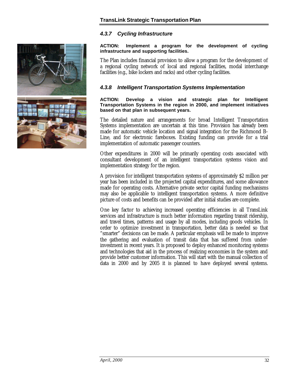

#### *4.3.7 Cycling Infrastructure*

#### **ACTION: Implement a program for the development of cycling infrastructure and supporting facilities.**

The Plan includes financial provision to allow a program for the development of a regional cycling network of local and regional facilities, modal interchange facilities (e.g., bike lockers and racks) and other cycling facilities.

#### *4.3.8 Intelligent Transportation Systems Implementation*

#### **ACTION: Develop a vision and strategic plan for Intelligent Transportation Systems in the region in 2000, and implement initiatives based on that plan in subsequent years.**

The detailed nature and arrangements for broad Intelligent Transportation Systems implementation are uncertain at this time. Provision has already been made for automatic vehicle location and signal integration for the Richmond B-Line, and for electronic fareboxes. Existing funding can provide for a trial implementation of automatic passenger counters.

Other expenditures in 2000 will be primarily operating costs associated with consultant development of an intelligent transportation systems vision and implementation strategy for the region.

A provision for intelligent transportation systems of approximately \$2 million per year has been included in the projected capital expenditures, and some allowance made for operating costs. Alternative private sector capital funding mechanisms may also be applicable to intelligent transportation systems. A more definitive picture of costs and benefits can be provided after initial studies are complete.

One key factor to achieving increased operating efficiencies in all TransLink services and infrastructure is much better information regarding transit ridership, and travel times, patterns and usage by all modes, including goods vehicles. In order to optimize investment in transportation, better data is needed so that "smarter" decisions can be made. A particular emphasis will be made to improve the gathering and evaluation of transit data that has suffered from underinvestment in recent years. It is proposed to deploy enhanced monitoring systems and technologies that aid in the process of realizing economies in the system and provide better customer information. This will start with the manual collection of data in 2000 and by 2005 it is planned to have deployed several systems.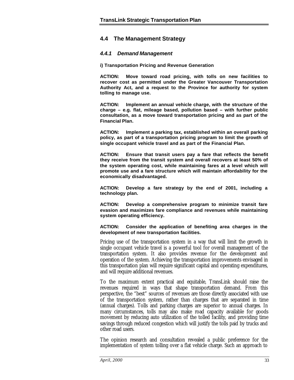#### <span id="page-35-0"></span>**4.4 The Management Strategy**

#### *4.4.1 Demand Management*

**i) Transportation Pricing and Revenue Generation**

**ACTION: Move toward road pricing, with tolls on new facilities to recover cost as permitted under the Greater Vancouver Transportation Authority Act, and a request to the Province for authority for system tolling to manage use.**

**ACTION: Implement an annual vehicle charge, with the structure of the charge – e.g. flat, mileage based, pollution based – with further public consultation, as a move toward transportation pricing and as part of the Financial Plan.**

**ACTION: Implement a parking tax, established within an overall parking policy, as part of a transportation pricing program to limit the growth of single occupant vehicle travel and as part of the Financial Plan.**

**ACTION: Ensure that transit users pay a fare that reflects the benefit they receive from the transit system and overall recovers at least 50% of the system operating cost, while maintaining fares at a level which will promote use and a fare structure which will maintain affordability for the economically disadvantaged.**

**ACTION: Develop a fare strategy by the end of 2001, including a technology plan.**

**ACTION: Develop a comprehensive program to minimize transit fare evasion and maximizes fare compliance and revenues while maintaining system operating efficiency.**

**ACTION: Consider the application of benefiting area charges in the development of new transportation facilities.**

Pricing use of the transportation system in a way that will limit the growth in single occupant vehicle travel is a powerful tool for overall management of the transportation system. It also provides revenue for the development and operation of the system. Achieving the transportation improvements envisaged in this transportation plan will require significant capital and operating expenditures, and will require additional revenues.

To the maximum extent practical and equitable, TransLink should raise the revenues required in ways that shape transportation demand. From this perspective, the "best" sources of revenues are those directly associated with use of the transportation system, rather than charges that are separated in time (annual charges). Tolls and parking charges are superior to annual charges. In many circumstances, tolls may also make road capacity available for goods movement by reducing auto utilization of the tolled facility, and providing time savings through reduced congestion which will justify the tolls paid by trucks and other road users.

The opinion research and consultation revealed a public preference for the implementation of system tolling over a flat vehicle charge. Such an approach to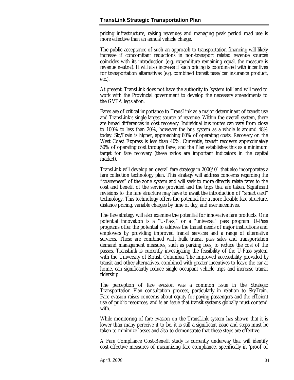pricing infrastructure, raising revenues and managing peak period road use is more effective than an annual vehicle charge.

The public acceptance of such an approach to transportation financing will likely increase if concomitant reductions in non-transport related revenue sources coincides with its introduction (e.g. expenditure remaining equal, the measure is revenue neutral). It will also increase if such pricing is coordinated with incentives for transportation alternatives (e.g. combined transit pass/car insurance product, etc.).

At present, TransLink does not have the authority to 'system toll' and will need to work with the Provincial government to develop the necessary amendments to the GVTA legislation.

Fares are of critical importance to TransLink as a major determinant of transit use and TransLink's single largest source of revenue. Within the overall system, there are broad differences in cost recovery. Individual bus routes can vary from close to 100% to less than 20%, however the bus system as a whole is around 48% today. SkyTrain is higher, approaching 80% of operating costs. Recovery on the West Coast Express is less than 40%. Currently, transit recovers approximately 50% of operating cost through fares, and the Plan establishes this as a minimum target for fare recovery (these ratios are important indicators in the capital market).

TransLink will develop an overall fare strategy in 2000/01 that also incorporates a fare collection technology plan. This strategy will address concerns regarding the "coarseness" of the zone system and will seek to more directly relate fares to the cost and benefit of the service provided and the trips that are taken. Significant revisions to the fare structure may have to await the introduction of "smart card" technology. This technology offers the potential for a more flexible fare structure, distance pricing, variable charges by time of day, and user incentives.

The fare strategy will also examine the potential for innovative fare products. One potential innovation is a "U-Pass," or a "universal" pass program. U-Pass programs offer the potential to address the transit needs of major institutions and employers by providing improved transit services and a range of alternative services. These are combined with bulk transit pass sales and transportation demand management measures, such as parking fees, to reduce the cost of the passes. TransLink is currently investigating the feasibility of the U-Pass system with the University of British Columbia. The improved accessibility provided by transit and other alternatives, combined with greater incentives to leave the car at home, can significantly reduce single occupant vehicle trips and increase transit ridership.

The perception of fare evasion was a common issue in the Strategic Transportation Plan consultation process, particularly in relation to SkyTrain. Fare evasion raises concerns about equity for paying passengers and the efficient use of public resources, and is an issue that transit systems globally must contend with.

While monitoring of fare evasion on the TransLink system has shown that it is lower than many perceive it to be, it is still a significant issue and steps must be taken to minimize losses and also to demonstrate that these steps are effective.

A Fare Compliance Cost-Benefit study is currently underway that will identify cost-effective measures of maximizing fare compliance, specifically in 'proof of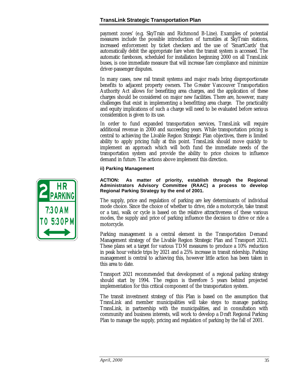payment zones' (e.g. SkyTrain and Richmond B-Line). Examples of potential measures include the possible introduction of turnstiles at SkyTrain stations, increased enforcement by ticket checkers and the use of 'SmartCards' that automatically debit the appropriate fare when the transit system is accessed. The automatic fareboxes, scheduled for installation beginning 2000 on all TransLink buses, is one immediate measure that will increase fare compliance and minimize driver-passenger disputes.

In many cases, new rail transit systems and major roads bring disproportionate benefits to adjacent property owners. The Greater Vancouver Transportation Authority Act allows for benefiting area charges, and the application of these charges should be considered on major new facilities. There are, however, many challenges that exist in implementing a benefitting area charge. The practicality and equity implications of such a charge will need to be evaluated before serious consideration is given to its use.

In order to fund expanded transportation services, TransLink will require additional revenue in 2000 and succeeding years. While transportation pricing is central to achieving the Livable Region Strategic Plan objectives, there is limited ability to apply pricing fully at this point. TransLink should move quickly to implement an approach which will both fund the immediate needs of the transportation system and provide the ability to price choices to influence demand in future. The actions above implement this direction.

#### **ii) Parking Management**

#### **ACTION: As matter of priority, establish through the Regional Administrators Advisory Committee (RAAC) a process to develop Regional Parking Strategy by the end of 2001.**

The supply, price and regulation of parking are key determinants of individual mode choice. Since the choice of whether to drive, ride a motorcycle, take transit or a taxi, walk or cycle is based on the relative attractiveness of these various modes, the supply and price of parking influence the decision to drive or ride a motorcycle.

Parking management is a central element in the Transportation Demand Management strategy of the Livable Region Strategic Plan and Transport 2021. These plans set a target for various TDM measures to produce a 10% reduction in peak hour vehicle trips by 2021 and a 25% increase in transit ridership. Parking management is central to achieving this, however little action has been taken in this area to date.

Transport 2021 recommended that development of a regional parking strategy should start by 1994. The region is therefore 5 years behind projected implementation for this critical component of the transportation system.

The transit investment strategy of this Plan is based on the assumption that TransLink and member municipalities will take steps to manage parking. TransLink, in partnership with the municipalities, and in consultation with community and business interests, will work to develop a Draft Regional Parking Plan to manage the supply, pricing and regulation of parking by the fall of 2001.

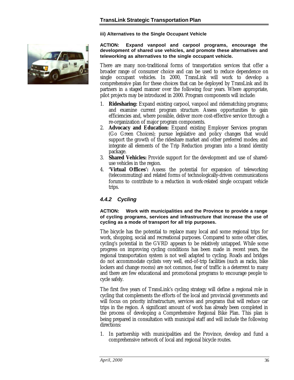**iii) Alternatives to the Single Occupant Vehicle**



**ACTION: Expand vanpool and carpool programs, encourage the development of shared use vehicles, and promote these alternatives and teleworking as alternatives to the single occupant vehicle.**

There are many non-traditional forms of transportation services that offer a broader range of consumer choice and can be used to reduce dependence on single occupant vehicles. In 2000, TransLink will work to develop a comprehensive plan for these choices that can be deployed by TransLink and its partners in a staged manner over the following four years. Where appropriate, pilot projects may be introduced in 2000. Program components will include:

- 1. **Ridesharing:** Expand existing carpool, vanpool and ridematching programs; and examine current program structure. Assess opportunities to gain efficiencies and, where possible, deliver more cost-effective service through a re-organization of major program components.
- 2. **Advocacy and Education:** Expand existing Employer Services program (Go Green Choices); pursue legislative and policy changes that would support the growth of the rideshare market and other preferred modes; and integrate all elements of the Trip Reduction program into a brand identity package.
- 3. **Shared Vehicles:** Provide support for the development and use of shareduse vehicles in the region.
- 4. **'Virtual Offices':** Assess the potential for expansion of teleworking (telecommuting) and related forms of technologically-driven communications forums to contribute to a reduction in work-related single occupant vehicle trips.

#### *4.4.2 Cycling*

**ACTION: Work with municipalities and the Province to provide a range of cycling programs, services and infrastructure that increase the use of cycling as a mode of transport for all trip purposes.**

The bicycle has the potential to replace many local and some regional trips for work, shopping, social and recreational purposes. Compared to some other cities, cycling's potential in the GVRD appears to be relatively untapped. While some progress on improving cycling conditions has been made in recent years, the regional transportation system is not well adapted to cycling. Roads and bridges do not accommodate cyclists very well, end-of-trip facilities (such as racks, bike lockers and change rooms) are not common, fear of traffic is a deterrent to many and there are few educational and promotional programs to encourage people to cycle safely.

The first five years of TransLink's cycling strategy will define a regional role in cycling that complements the efforts of the local and provincial governments and will focus on priority infrastructure, services and programs that will reduce car trips in the region. A significant amount of work has already been completed in the process of developing a Comprehensive Regional Bike Plan. This plan is being prepared in consultation with municipal staff and will include the following directions:

1. In partnership with municipalities and the Province, develop and fund a comprehensive network of local and regional bicycle routes.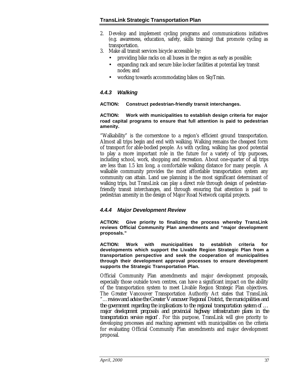- 2. Develop and implement cycling programs and communications initiatives (e.g. awareness, education, safety, skills training) that promote cycling as transportation.
- 3. Make all transit services bicycle accessible by:
	- providing bike racks on all buses in the region as early as possible;
	- expanding rack and secure bike locker facilities at potential key transit nodes; and
	- working towards accommodating bikes on SkyTrain.

#### *4.4.3 Walking*

#### **ACTION: Construct pedestrian-friendly transit interchanges.**

#### **ACTION: Work with municipalities to establish design criteria for major road capital programs to ensure that full attention is paid to pedestrian amenity.**

"Walkability" is the cornerstone to a region's efficient ground transportation. Almost all trips begin and end with walking. Walking remains the cheapest form of transport for able-bodied people. As with cycling, walking has good potential to play a more important role in the future for a variety of trip purposes, including school, work, shopping and recreation. About one-quarter of all trips are less than 1.5 km long, a comfortable walking distance for many people. A walkable community provides the most affordable transportation system any community can attain. Land use planning is the most significant determinant of walking trips, but TransLink can play a direct role through design of pedestrianfriendly transit interchanges, and through ensuring that attention is paid to pedestrian amenity in the design of Major Road Network capital projects.

#### *4.4.4 Major Development Review*

**ACTION: Give priority to finalizing the process whereby TransLink reviews Official Community Plan amendments and "major development proposals."**

**ACTION: Work with municipalities to establish criteria for developments which support the Livable Region Strategic Plan from a transportation perspective and seek the cooperation of municipalities through their development approval processes to ensure development supports the Strategic Transportation Plan.**

Official Community Plan amendments and major development proposals, especially those outside town centres, can have a significant impact on the ability of the transportation system to meet Livable Region Strategic Plan objectives. The Greater Vancouver Transportation Authority Act states that TransLink "…*review and advise the Greater Vancouver Regional District, the municipalities and the government regarding the implications to the regional transportation system of … major development proposals and provincial highway infrastructure plans in the transportation service region*". For this purpose, TransLink will give priority to developing processes and reaching agreement with municipalities on the criteria for evaluating Official Community Plan amendments and major development proposal.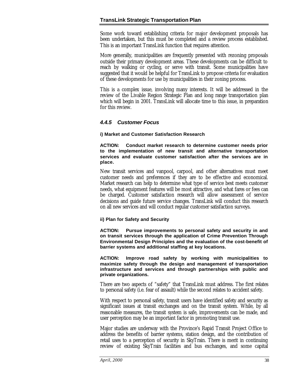Some work toward establishing criteria for major development proposals has been undertaken, but this must be completed and a review process established. This is an important TransLink function that requires attention.

More generally, municipalities are frequently presented with rezoning proposals outside their primary development areas. These developments can be difficult to reach by walking or cycling, or serve with transit. Some municipalities have suggested that it would be helpful for TransLink to propose criteria for evaluation of these developments for use by municipalities in their zoning process.

This is a complex issue, involving many interests. It will be addressed in the review of the Livable Region Strategic Plan and long range transportation plan which will begin in 2001. TransLink will allocate time to this issue, in preparation for this review.

#### *4.4.5 Customer Focus*

#### **i) Market and Customer Satisfaction Research**

**ACTION: Conduct market research to determine customer needs prior to the implementation of new transit and alternative transportation services and evaluate customer satisfaction after the services are in place.**

New transit services and vanpool, carpool, and other alternatives must meet customer needs and preferences if they are to be effective and economical. Market research can help to determine what type of service best meets customer needs, what equipment features will be most attractive, and what fares or fees can be charged. Customer satisfaction research will allow assessment of service decisions and guide future service changes. TransLink will conduct this research on all new services and will conduct regular customer satisfaction surveys.

#### **ii) Plan for Safety and Security**

**ACTION: Pursue improvements to personal safety and security in and on transit services through the application of Crime Prevention Through Environmental Design Principles and the evaluation of the cost-benefit of barrier systems and additional staffing at key locations.**

**ACTION: Improve road safety by working with municipalities to maximize safety through the design and management of transportation infrastructure and services and through partnerships with public and private organizations.**

There are two aspects of "safety" that TransLink must address. The first relates to personal safety (i.e. fear of assault) while the second relates to accident safety.

With respect to personal safety, transit users have identified safety and security as significant issues at transit exchanges and on the transit system. While, by all reasonable measures, the transit system is safe, improvements can be made, and user perception may be an important factor in promoting transit use.

Major studies are underway with the Province's Rapid Transit Project Office to address the benefits of barrier systems, station design, and the contribution of retail uses to a perception of security in SkyTrain. There is merit in continuing review of existing SkyTrain facilities and bus exchanges, and some capital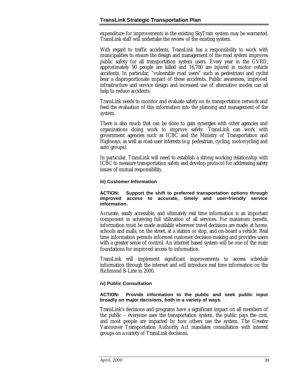expenditure for improvements in the existing SkyTrain system may be warranted. TransLink staff will undertake the review of the existing system.

With regard to traffic accidents, TransLink has a responsibility to work with municipalities to ensure the design and management of the road system improves public safety for all transportation system users. Every year in the GVRD, approximately 90 people are killed and 16,700 are injured in motor vehicle accidents. In particular, "vulnerable road users" such as pedestrians and cyclist bear a disproportionate impact of these accidents. Public awareness, improved infrastructure and service design and increased use of alternative modes can all help to reduce accidents.

TransLink needs to monitor and evaluate safety on its transportation network and feed the evaluation of this information into the planning and management of the system.

There is also much that can be done to gain synergies with other agencies and organizations doing work to improve safety. TransLink can work with government agencies such as ICBC and the Ministry of Transportation and Highways, as well as road user interests (e.g. pedestrian, cycling, motorcycling and auto groups).

In particular, TransLink will need to establish a strong working relationship with ICBC to measure transportation safety and develop protocol for addressing safety issues of mutual responsibility.

#### **iii) Customer Information**

#### **ACTION: Support the shift to preferred transportation options through improved access to accurate, timely and user-friendly service information.**

Accurate, easily accessible, and ultimately real time information is an important component in achieving full utilization of all services. For maximum benefit, information must be made available wherever travel decisions are made: at home, schools and malls, on the street, at a station or stop, and on-board a vehicle. Real time information permits informed customer decision-making and provides users with a greater sense of control. An internet based system will be one of the main foundations for improved access to information.

TransLink will implement significant improvements to access schedule information through the internet and will introduce real time information on the Richmond B-Line in 2000.

#### **iv) Public Consultation**

#### **ACTION: Provide information to the public and seek public input broadly on major decisions, both in a variety of ways.**

TransLink's decisions and programs have a significant impact on all members of the public – everyone uses the transportation system, the public pays the cost, and most people are impacted by how others use the system. The Greater Vancouver Transportation Authority Act mandates consultation with interest groups on a variety of TransLink decisions.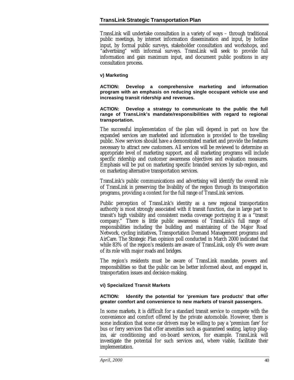TransLink will undertake consultation in a variety of ways – through traditional public meetings, by internet information dissemination and input, by hotline input, by formal public surveys, stakeholder consultation and workshops, and "advertising" with informal surveys. TransLink will seek to provide full information and gain maximum input, and document public positions in any consultation process.

#### **v) Marketing**

**ACTION: Develop a comprehensive marketing and information program with an emphasis on reducing single occupant vehicle use and increasing transit ridership and revenues.**

**ACTION: Develop a strategy to communicate to the public the full range of TransLink's mandate/responsibilities with regard to regional transportation.**

The successful implementation of the plan will depend in part on how the expanded services are marketed and information is provided to the travelling public. New services should have a demonstrated market and provide the features necessary to attract new customers. All services will be reviewed to determine an appropriate level of marketing support, and all marketing programs will include specific ridership and customer awareness objectives and evaluation measures. Emphasis will be put on marketing specific branded services by sub-region, and on marketing alternative transportation services.

TransLink's public communications and advertising will identify the overall role of TransLink in preserving the livability of the region through its transportation programs, providing a context for the full range of TransLink services.

Public perception of TransLink's identity as a new regional transportation authority is most strongly associated with it transit function, due in large part to transit's high visibility and consistent media coverage portraying it as a "transit company." There is little public awareness of TransLink's full range of responsibilities including the building and maintaining of the Major Road Network, cycling initiatives, Transportation Demand Management programs and AirCare. The Strategic Plan opinion poll conducted in March 2000 indicated that while 83% of the region's residents are aware of TransLink, only 4% were aware of its role with major roads and bridges.

The region's residents must be aware of TransLink mandate, powers and responsibilities so that the public can be better informed about, and engaged in, transportation issues and decision-making.

#### **vi) Specialized Transit Markets**

#### **ACTION: Identify the potential for 'premium fare products' that offer greater comfort and convenience to new markets of transit passengers.**

In some markets, it is difficult for a standard transit service to compete with the convenience and comfort offered by the private automobile. However, there is some indication that some car drivers may be willing to pay a 'premium fare' for bus or ferry services that offer amenities such as guaranteed seating, laptop plugins, air conditioning and on-board services, for example. TransLink will investigate the potential for such services and, where viable, facilitate their implementation.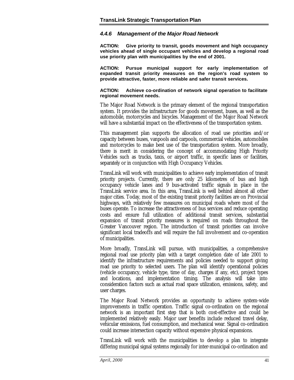#### *4.4.6 Management of the Major Road Network*

**ACTION: Give priority to transit, goods movement and high occupancy vehicles ahead of single occupant vehicles and develop a regional road use priority plan with municipalities by the end of 2001.**

**ACTION: Pursue municipal support for early implementation of expanded transit priority measures on the region's road system to provide attractive, faster, more reliable and safer transit services.**

**ACTION: Achieve co-ordination of network signal operation to facilitate regional movement needs.**

The Major Road Network is the primary element of the regional transportation system. It provides the infrastructure for goods movement, buses, as well as the automobile, motorcycles and bicycles. Management of the Major Road Network will have a substantial impact on the effectiveness of the transportation system.

This management plan supports the allocation of road use priorities and/or capacity between buses, vanpools and carpools, commercial vehicles, automobiles and motorcycles to make best use of the transportation system. More broadly, there is merit in considering the concept of accommodating High Priority Vehicles such as trucks, taxis, or airport traffic, in specific lanes or facilities, separately or in conjunction with High Occupancy Vehicles.

TransLink will work with municipalities to achieve early implementation of transit priority projects. Currently, there are only 25 kilometres of bus and high occupancy vehicle lanes and 9 bus-activated traffic signals in place in the TransLink service area. In this area, TransLink is well behind almost all other major cities. Today, most of the existing transit priority facilities are on Provincial highways, with relatively few measures on municipal roads where most of the buses operate. To increase the attractiveness of bus services and reduce operating costs and ensure full utilization of additional transit services, substantial expansion of transit priority measures is required on roads throughout the Greater Vancouver region. The introduction of transit priorities can involve significant local tradeoffs and will require the full involvement and co-operation of municipalities.

More broadly, TransLink will pursue, with municipalities, a comprehensive regional road use priority plan with a target completion date of late 2001 to identify the infrastructure requirements and policies needed to support giving road use priority to selected users. The plan will identify operational policies (vehicle occupancy, vehicle type, time of day, charges if any, etc), project types and locations, and implementation timing. The analysis will take into consideration factors such as actual road space utilization, emissions, safety, and user charges.

The Major Road Network provides an opportunity to achieve system-wide improvements in traffic operation. Traffic signal co-ordination on the regional network is an important first step that is both cost-effective and could be implemented relatively easily. Major user benefits include reduced travel delay, vehicular emissions, fuel consumption, and mechanical wear. Signal co-ordination could increase intersection capacity without expensive physical expansions.

TransLink will work with the municipalities to develop a plan to integrate differing municipal signal systems regionally for inter-municipal co-ordination and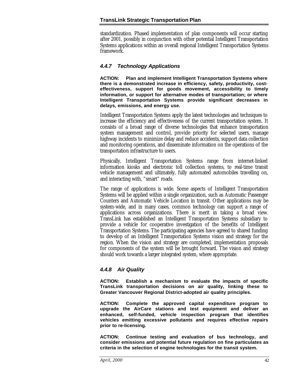standardization. Phased implementation of plan components will occur starting after 2001, possibly in conjunction with other potential Intelligent Transportation Systems applications within an overall regional Intelligent Transportation Systems framework.

#### *4.4.7 Technology Applications*

**ACTION: Plan and implement Intelligent Transportation Systems where there is a demonstrated increase in efficiency, safety, productivity, costeffectiveness, support for goods movement, accessibility to timely information, or support for alternative modes of transportation; or where Intelligent Transportation Systems provide significant decreases in delays, emissions, and energy use.**

Intelligent Transportation Systems apply the latest technologies and techniques to increase the efficiency and effectiveness of the current transportation system. It consists of a broad range of diverse technologies that enhance transportation system management and control, provide priority for selected users, manage highway incidents to minimize delay and reduce accidents, support data collection and monitoring operations, and disseminate information on the operations of the transportation infrastructure to users.

Physically, Intelligent Transportation Systems range from internet-linked information kiosks and electronic toll collection systems, to real-time transit vehicle management and ultimately, fully automated automobiles travelling on, and interacting with, "smart" roads.

The range of applications is wide. Some aspects of Intelligent Transportation Systems will be applied within a single organization, such as Automatic Passenger Counters and Automatic Vehicle Location in transit. Other applications may be system-wide, and in many cases, common technology can support a range of applications across organizations. There is merit in taking a broad view. TransLink has established an Intelligent Transportation Systems subsidiary to provide a vehicle for cooperative investigation of the benefits of Intelligent Transportation Systems. The participating agencies have agreed to shared funding to develop of an Intelligent Transportation Systems vision and strategy for the region. When the vision and strategy are completed, implementation proposals for components of the system will be brought forward. The vision and strategy should work towards a larger integrated system, where appropriate.

#### *4.4.8 Air Quality*

**ACTION: Establish a mechanism to evaluate the impacts of specific TransLink transportation decisions on air quality, linking these to Greater Vancouver Regional District-adopted air quality principles.**

**ACTION: Complete the approved capital expenditure program to upgrade the AirCare stations and test equipment and deliver an enhanced, self-funded, vehicle inspection program that identifies vehicles emitting excessive pollutants and requires effective repairs prior to re-licensing.**

**ACTION: Continue testing and evaluation of bus technology, and consider emissions and potential future regulation on fine particulates as criteria in the selection of engine technologies for the transit system.**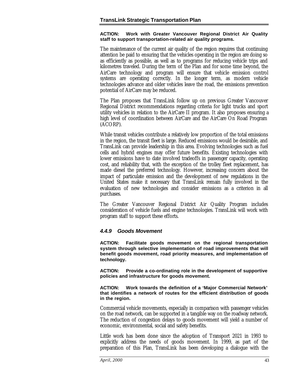#### **ACTION: Work with Greater Vancouver Regional District Air Quality staff to support transportation-related air quality programs.**

The maintenance of the current air quality of the region requires that continuing attention be paid to ensuring that the vehicles operating in the region are doing so as efficiently as possible, as well as to programs for reducing vehicle trips and kilometres traveled. During the term of the Plan and for some time beyond, the AirCare technology and program will ensure that vehicle emission control systems are operating correctly. In the longer term, as modern vehicle technologies advance and older vehicles leave the road, the emissions prevention potential of AirCare may be reduced.

The Plan proposes that TransLink follow up on previous Greater Vancouver Regional District recommendations regarding criteria for light trucks and sport utility vehicles in relation to the AirCare II program. It also proposes ensuring a high level of coordination between AirCare and the AirCare On Road Program (ACORP).

While transit vehicles contribute a relatively low proportion of the total emissions in the region, the transit fleet is large. Reduced emissions would be desirable, and TransLink can provide leadership in this area. Evolving technologies such as fuel cells and hybrid engines may offer future benefits. Existing technologies with lower emissions have to date involved tradeoffs in passenger capacity, operating cost, and reliability that, with the exception of the trolley fleet replacement, has made diesel the preferred technology. However, increasing concern about the impact of particulate emission and the development of new regulations in the United States make it necessary that TransLink remain fully involved in the evaluation of new technologies and consider emissions as a criterion in all purchases.

The Greater Vancouver Regional District Air Quality Program includes consideration of vehicle fuels and engine technologies. TransLink will work with program staff to support these efforts.

#### *4.4.9 Goods Movement*

**ACTION: Facilitate goods movement on the regional transportation system through selective implementation of road improvements that will benefit goods movement, road priority measures, and implementation of technology.**

**ACTION: Provide a co-ordinating role in the development of supportive policies and infrastructure for goods movement.**

**ACTION: Work towards the definition of a 'Major Commercial Network' that identifies a network of routes for the efficient distribution of goods in the region.**

Commercial vehicle movements, especially in comparison with passenger vehicles on the road network, can be supported in a tangible way on the roadway network. The reduction of congestion delays to goods movement will yield a number of economic, environmental, social and safety benefits.

Little work has been done since the adoption of Transport 2021 in 1993 to explicitly address the needs of goods movement. In 1999, as part of the preparation of this Plan, TransLink has been developing a dialogue with the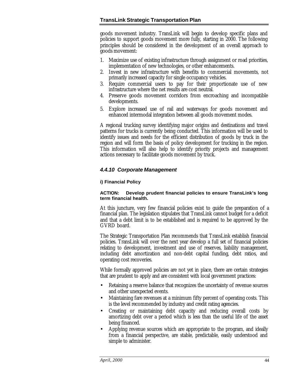goods movement industry. TransLink will begin to develop specific plans and policies to support goods movement more fully, starting in 2000. The following principles should be considered in the development of an overall approach to goods movement:

- 1. Maximize use of existing infrastructure through assignment or road priorities, implementation of new technologies, or other enhancements.
- 2. Invest in new infrastructure with benefits to commercial movements, not primarily increased capacity for single occupancy vehicles.
- 3. Require commercial users to pay for their proportionate use of new infrastructure where the net results are cost neutral.
- 4. Preserve goods movement corridors from encroaching and incompatible developments.
- 5. Explore increased use of rail and waterways for goods movement and enhanced intermodal integration between all goods movement modes.

A regional trucking survey identifying major origins and destinations and travel patterns for trucks is currently being conducted. This information will be used to identify issues and needs for the efficient distribution of goods by truck in the region and will form the basis of policy development for trucking in the region. This information will also help to identify priority projects and management actions necessary to facilitate goods movement by truck.

#### *4.4.10 Corporate Management*

#### **i) Financial Policy**

#### **ACTION: Develop prudent financial policies to ensure TransLink's long term financial health.**

At this juncture, very few financial policies exist to guide the preparation of a financial plan. The legislation stipulates that TransLink cannot budget for a deficit and that a debt limit is to be established and is required to be approved by the GVRD board.

The Strategic Transportation Plan recommends that TransLink establish financial policies. TransLink will over the next year develop a full set of financial policies relating to development, investment and use of reserves, liability management, including debt amortization and non-debt capital funding, debt ratios, and operating cost recoveries.

While formally approved policies are not yet in place, there are certain strategies that are prudent to apply and are consistent with local government practices:

- Retaining a reserve balance that recognizes the uncertainty of revenue sources and other unexpected events.
- Maintaining fare revenues at a minimum fifty percent of operating costs. This is the level recommended by industry and credit rating agencies.
- Creating or maintaining debt capacity and reducing overall costs by amortizing debt over a period which is less than the useful life of the asset being financed.
- Applying revenue sources which are appropriate to the program, and ideally from a financial perspective, are stable, predictable, easily understood and simple to administer.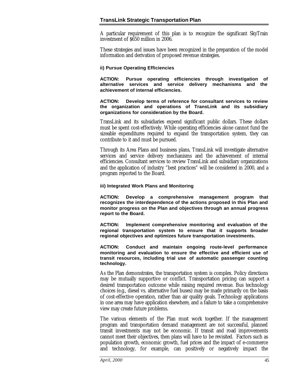A particular requirement of this plan is to recognize the significant SkyTrain investment of \$650 million in 2006.

These strategies and issues have been recognized in the preparation of the model information and derivation of proposed revenue strategies.

#### **ii) Pursue Operating Efficiencies**

**ACTION: Pursue operating efficiencies through investigation of alternative services and service delivery mechanisms and the achievement of internal efficiencies.**

#### **ACTION: Develop terms of reference for consultant services to review the organization and operations of TransLink and its subsidiary organizations for consideration by the Board.**

TransLink and its subsidiaries expend significant public dollars. These dollars must be spent cost-effectively. While operating efficiencies alone cannot fund the sizeable expenditures required to expand the transportation system, they can contribute to it and must be pursued.

Through its Area Plans and business plans, TransLink will investigate alternative services and service delivery mechanisms and the achievement of internal efficiencies. Consultant services to review TransLink and subsidiary organizations and the application of industry "best practices" will be considered in 2000, and a program reported to the Board.

#### **iii) Integrated Work Plans and Monitoring**

**ACTION: Develop a comprehensive management program that recognizes the interdependence of the actions proposed in this Plan and monitor progress on the Plan and objectives through an annual progress report to the Board.**

**ACTION: Implement comprehensive monitoring and evaluation of the regional transportation system to ensure that it supports broader regional objectives and optimizes future transportation investments.**

**ACTION: Conduct and maintain ongoing route-level performance monitoring and evaluation to ensure the effective and efficient use of transit resources, including trial use of automatic passenger counting technology.**

As the Plan demonstrates, the transportation system is complex. Policy directions may be mutually supportive or conflict. Transportation pricing can support a desired transportation outcome while raising required revenue. Bus technology choices (e.g., diesel vs. alternative fuel buses) may be made primarily on the basis of cost-effective operation, rather than air quality goals. Technology applications in one area may have application elsewhere, and a failure to take a comprehensive view may create future problems.

The various elements of the Plan must work together. If the management program and transportation demand management are not successful, planned transit investments may not be economic. If transit and road improvements cannot meet their objectives, then plans will have to be revisited. Factors such as population growth, economic growth, fuel prices and the impact of e-commerce and technology, for example, can positively or negatively impact the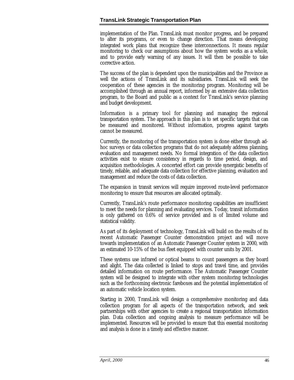implementation of the Plan. TransLink must monitor progress, and be prepared to alter its programs, or even to change direction. That means developing integrated work plans that recognize these interconnections. It means regular monitoring to check our assumptions about how the system works as a whole, and to provide early warning of any issues. It will then be possible to take corrective action.

The success of the plan is dependent upon the municipalities and the Province as well the actions of TransLink and its subsidiaries. TransLink will seek the cooperation of these agencies in the monitoring program. Monitoring will be accomplished through an annual report, informed by an extensive data collection program, to the Board and public as a context for TransLink's service planning and budget development.

Information is a primary tool for planning and managing the regional transportation system. The approach in this plan is to set specific targets that can be measured and monitored. Without information, progress against targets cannot be measured.

Currently, the monitoring of the transportation system is done either through adhoc surveys or data collection programs that do not adequately address planning, evaluation and management needs. No formal integration of the data collection activities exist to ensure consistency in regards to time period, design, and acquisition methodologies. A concerted effort can provide synergistic benefits of timely, reliable, and adequate data collection for effective planning, evaluation and management and reduce the costs of data collection.

The expansion in transit services will require improved route-level performance monitoring to ensure that resources are allocated optimally.

Currently, TransLink's route performance monitoring capabilities are insufficient to meet the needs for planning and evaluating services. Today, transit information is only gathered on 0.6% of service provided and is of limited volume and statistical validity.

As part of its deployment of technology, TransLink will build on the results of its recent Automatic Passenger Counter demonstration project and will move towards implementation of an Automatic Passenger Counter system in 2000, with an estimated 10-15% of the bus fleet equipped with counter units by 2001.

These systems use infrared or optical beams to count passengers as they board and alight. The data collected is linked to stops and travel time, and provides detailed information on route performance. The Automatic Passenger Counter system will be designed to integrate with other system monitoring technologies such as the forthcoming electronic fareboxes and the potential implementation of an automatic vehicle location system.

Starting in 2000, TransLink will design a comprehensive monitoring and data collection program for all aspects of the transportation network, and seek partnerships with other agencies to create a regional transportation information plan. Data collection and ongoing analysis to measure performance will be implemented. Resources will be provided to ensure that this essential monitoring and analysis is done in a timely and effective manner.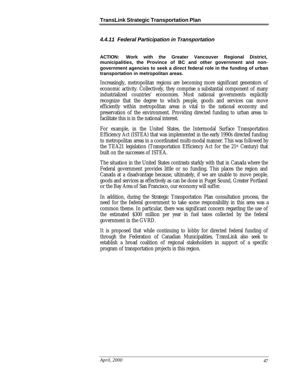#### *4.4.11 Federal Participation in Transportation*

**ACTION: Work with the Greater Vancouver Regional District, municipalities, the Province of BC and other government and nongovernment agencies to seek a direct federal role in the funding of urban transportation in metropolitan areas.**

Increasingly, metropolitan regions are becoming more significant generators of economic activity. Collectively, they comprise a substantial component of many industrialized countries' economies. Most national governments explicitly recognize that the degree to which people, goods and services can move efficiently within metropolitan areas is vital to the national economy and preservation of the environment. Providing directed funding to urban areas to facilitate this is in the national interest.

For example, in the United States, the Intermodal Surface Transportation Efficiency Act (ISTEA) that was implemented in the early 1990s directed funding to metropolitan areas in a coordinated multi-modal manner. This was followed by the TEA21 legislation (Transportation Efficiency Act for the  $21$ <sup>st</sup> Century) that built on the successes of ISTEA.

The situation in the United States contrasts starkly with that in Canada where the Federal government provides little or no funding. This places the region and Canada at a disadvantage because, ultimately, if we are unable to move people, goods and services as effectively as can be done in Puget Sound, Greater Portland or the Bay Area of San Francisco, our economy will suffer.

In addition, during the Strategic Transportation Plan consultation process, the need for the federal government to take some responsibility in this area was a common theme. In particular, there was significant concern regarding the use of the estimated \$300 million per year in fuel taxes collected by the federal government in the GVRD.

It is proposed that while continuing to lobby for directed federal funding of through the Federation of Canadian Municipalities, TransLink also seek to establish a broad coalition of regional stakeholders in support of a specific program of transportation projects in this region.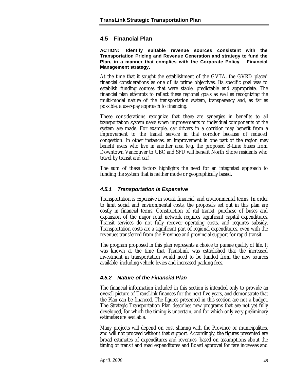#### <span id="page-50-0"></span>**4.5 Financial Plan**

**ACTION: Identify suitable revenue sources consistent with the Transportation Pricing and Revenue Generation and strategy to fund the Plan, in a manner that complies with the Corporate Policy – Financial Management strategy.**

At the time that it sought the establishment of the GVTA, the GVRD placed financial considerations as one of its prime objectives. Its specific goal was to establish funding sources that were stable, predictable and appropriate. The financial plan attempts to reflect these regional goals as well as recognizing the multi-modal nature of the transportation system, transparency and, as far as possible, a user-pay approach to financing.

These considerations recognize that there are synergies in benefits to all transportation system users when improvements to individual components of the system are made. For example, car drivers in a corridor may benefit from a improvement to the transit service in that corridor because of reduced congestion. In other instances, an improvement in one part of the region may benefit users who live in another area (e.g. the proposed B-Line buses from Downtown Vancouver to UBC and SFU will benefit North Shore residents who travel by transit and car).

The sum of these factors highlights the need for an integrated approach to funding the system that is neither mode or geographically based.

#### *4.5.1 Transportation is Expensive*

Transportation is expensive in social, financial, and environmental terms. In order to limit social and environmental costs, the proposals set out in this plan are costly in financial terms. Construction of rail transit, purchase of buses and expansion of the major road network requires significant capital expenditures. Transit services do not fully recover operating costs, and requires subsidy. Transportation costs are a significant part of regional expenditures, even with the revenues transferred from the Province and provincial support for rapid transit.

The program proposed in this plan represents a choice to pursue quality of life. It was known at the time that TransLink was established that the increased investment in transportation would need to be funded from the new sources available, including vehicle levies and increased parking fees.

#### *4.5.2 Nature of the Financial Plan*

The financial information included in this section is intended only to provide an overall picture of TransLink finances for the next five years, and demonstrate that the Plan can be financed. The figures presented in this section are not a budget. The Strategic Transportation Plan describes new programs that are not yet fully developed, for which the timing is uncertain, and for which only very preliminary estimates are available.

Many projects will depend on cost sharing with the Province or municipalities, and will not proceed without that support. Accordingly, the figures presented are broad estimates of expenditures and revenues, based on assumptions about the timing of transit and road expenditures and Board approval for fare increases and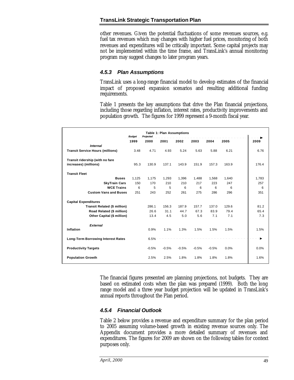other revenues. Given the potential fluctuations of some revenues sources, e.g. fuel tax revenues which may changes with higher fuel prices, monitoring of both revenues and expenditures will be critically important. Some capital projects may not be implemented within the time frame, and TransLink's annual monitoring program may suggest changes to later program years.

#### *4.5.3 Plan Assumptions*

TransLink uses a long-range financial model to develop estimates of the financial impact of proposed expansion scenarios and resulting additional funding requirements.

Table 1 presents the key assumptions that drive the Plan financial projections, including those regarding inflation, interest rates, productivity improvements and population growth. The figures for 1999 represent a 9-month fiscal year.

| <b>Table 1: Plan Assumptions</b><br><b>Budget</b><br>Projected |       |         |         |         |         |         |       |       |
|----------------------------------------------------------------|-------|---------|---------|---------|---------|---------|-------|-------|
|                                                                | 1999  | 2000    | 2001    | 2002    | 2003    | 2004    | 2005  | 2009  |
| <b>Internal</b>                                                |       |         |         |         |         |         |       |       |
| <b>Transit Service Hours (millions)</b>                        | 3.48  | 4.71    | 4.93    | 5.24    | 5.63    | 5.88    | 6.21  | 6.76  |
| Transit ridership (with no fare                                |       |         |         |         |         |         |       |       |
| increases) (millions)                                          | 95.3  | 130.9   | 137.1   | 143.9   | 151.9   | 157.3   | 163.9 | 176.4 |
| <b>Transit Fleet</b>                                           |       |         |         |         |         |         |       |       |
| <b>Buses</b>                                                   | 1,125 | 1,175   | 1,293   | 1,396   | 1,488   | 1,568   | 1,640 | 1,783 |
| <b>SkyTrain Cars</b>                                           | 150   | 170     | 210     | 210     | 217     | 223     | 247   | 257   |
| <b>WCE Trains</b>                                              | 6     | 5       | 5       | 6       | 6       | 6       | 6     | 6     |
| <b>Custom Vans and Buses</b>                                   | 251   | 243     | 252     | 261     | 275     | 286     | 296   | 351   |
| <b>Capital Expenditures</b>                                    |       |         |         |         |         |         |       |       |
| <b>Transit Related (\$ million)</b>                            |       | 286.1   | 156.3   | 187.9   | 157.7   | 137.0   | 129.6 | 81.2  |
| Road Related (\$ million)                                      |       | 26.6    | 31.1    | 44.7    | 67.3    | 83.9    | 79.4  | 65.4  |
| <b>Other Capital (\$ million)</b>                              |       | 13.4    | 4.5     | 5.0     | 5.6     | 7.1     | 7.1   | 7.3   |
| <b>External</b>                                                |       |         |         |         |         |         |       |       |
| Inflation                                                      |       | 0.9%    | 1.1%    | 1.3%    | 1.5%    | 1.5%    | 1.5%  | 1.5%  |
| <b>Long-Term Borrowing Interest Rates</b>                      |       | 6.5%    |         |         |         |         |       |       |
| <b>Productivity Targets</b>                                    |       | $-0.5%$ | $-0.5%$ | $-0.5%$ | $-0.5%$ | $-0.5%$ | 0.0%  | 0.0%  |
| <b>Population Growth</b>                                       |       | 2.5%    | 2.5%    | 1.8%    | 1.8%    | 1.8%    | 1.8%  | 1.6%  |

The financial figures presented are planning projections, not budgets. They are based on estimated costs when the plan was prepared (1999). Both the long range model and a three year budget projection will be updated in TransLink's annual reports throughout the Plan period.

#### *4.5.4 Financial Outlook*

Table 2 below provides a revenue and expenditure summary for the plan period to 2005 assuming volume-based growth in existing revenue sources only. The Appendix document provides a more detailed summary of revenues and expenditures. The figures for 2009 are shown on the following tables for context purposes only.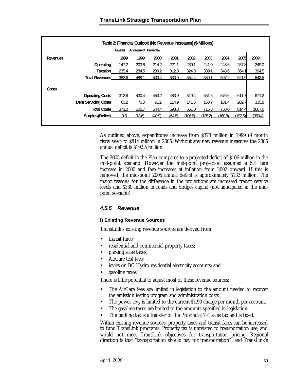| Table 2: Financial Outlook (No Revenue Increases) (\$ Millions) |                             |               |                             |        |        |         |         |         |         |         |
|-----------------------------------------------------------------|-----------------------------|---------------|-----------------------------|--------|--------|---------|---------|---------|---------|---------|
|                                                                 |                             | <b>Budget</b> | <b>Annualized Projected</b> |        |        |         |         |         |         |         |
| <b>Revenues</b>                                                 |                             | 1999          | 1999                        | 2000   | 2001   | 2002    | 2003    | 2004    | 2005    | 2009    |
|                                                                 | Operating                   | 147.2         | 203.6                       | 214.2  | 221.1  | 230.1   | 241.0   | 248.6   | 257.8   | 249.0   |
|                                                                 | <b>Taxation</b>             | 235.4         | 284.5                       | 289.2  | 312.8  | 324.3   | 339.1   | 348.6   | 364.1   | 394.5   |
|                                                                 | <b>Total Revenues</b>       | 382.6         | 488.1                       | 503.4  | 533.9  | 554.4   | 580.1   | 597.2   | 621.9   | 643.5   |
| Costs                                                           |                             |               |                             |        |        |         |         |         |         |         |
|                                                                 | <b>Operating Costs</b>      | 312.8         | 430.4                       | 453.2  | 483.9  | 519.4   | 551.6   | 576.6   | 611.7   | 671.2   |
|                                                                 | <b>Debt Servicing Costs</b> | 60.2          | 76.3                        | 91.2   | 114.9  | 141.6   | 163.7   | 181.4   | 202.7   | 335.8   |
|                                                                 | <b>Total Costs</b>          | 373.0         | 506.7                       | 544.4  | 598.8  | 661.0   | 715.3   | 758.0   | 814.4   | 1007.0  |
|                                                                 | Surplus/(Deficit)           | 9.6           | (18.6)                      | (40.9) | (64.8) | (106.6) | (135.2) | (160.8) | (192.5) | (363.4) |
|                                                                 |                             |               |                             |        |        |         |         |         |         |         |

As outlined above, expenditures increase from \$373 million in 1999 (9 month fiscal year) to \$814 million in 2005. Without any new revenue measures the 2005 annual deficit is \$192.5 million.

The 2005 deficit in the Plan compares to a projected deficit of \$106 million in the mid-point scenario. However the mid-point projection assumed a 5% fare increase in 2000 and fare increases at inflation from 2002 onward. If this is removed, the mid-point 2005 annual deficit is approximately \$133 million. The major reasons for the difference in the projections are increased transit service levels and \$330 million in roads and bridges capital (not anticipated in the midpoint scenario).

#### *4.5.5 Revenue*

#### **i) Existing Revenue Sources**

TransLink's existing revenue sources are derived from:

- transit fares;
- residential and commercial property taxes;
- parking sales taxes;
- AirCare test fees;
- levies on BC Hydro residential electricity accounts; and
- gasoline taxes.

There is little potential to adjust most of these revenue sources:

- The AirCare fees are limited in legislation to the amount needed to recover the emission testing program and administration costs.
- The power levy is limited to the current \$1.90 charge per month per account.
- The gasoline taxes are limited to the amounts specified in legislation.
- The parking tax is a transfer of the Provincial 7% sales tax and is fixed.

Within existing revenue sources, property taxes and transit fares can be increased to fund TransLink programs. Property tax is unrelated to transportation use, and would not meet TransLink objectives for transportation pricing. Regional direction is that "transportation should pay for transportation", and TransLink's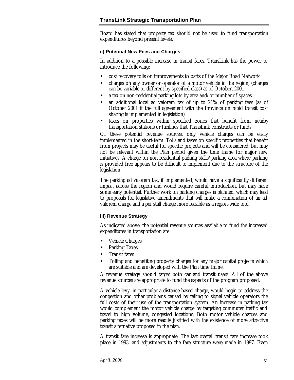Board has stated that property tax should not be used to fund transportation expenditures beyond present levels.

#### **ii) Potential New Fees and Charges**

In addition to a possible increase in transit fares, TransLink has the power to introduce the following:

- cost recovery tolls on improvements to parts of the Major Road Network
- charges on any owner or operator of a motor vehicle in the region, (charges can be variable or different by specified class) as of October, 2001
- a tax on non-residential parking lots by area and/or number of spaces
- an additional local ad valorem tax of up to 21% of parking fees (as of October 2001 if the full agreement with the Province on rapid transit cost sharing is implemented in legislation)
- taxes on properties within specified zones that benefit from nearby transportation stations or facilities that TransLink constructs or funds.

Of these potential revenue sources, only vehicle charges can be easily implemented in the short-term. Tolls and taxes on specific properties that benefit from projects may be useful for specific projects and will be considered, but may not be relevant within the Plan period given the time frame for major new initiatives. A charge on non-residential parking stalls/parking area where parking is provided free appears to be difficult to implement due to the structure of the legislation.

The parking ad valorem tax, if implemented, would have a significantly different impact across the region and would require careful introduction, but may have some early potential. Further work on parking charges is planned, which may lead to proposals for legislative amendments that will make a combination of an ad valorem charge and a per stall charge more feasible as a region-wide tool.

#### **iii) Revenue Strategy**

As indicated above, the potential revenue sources available to fund the increased expenditures in transportation are:

- Vehicle Charges
- Parking Taxes
- Transit fares
- Tolling and benefiting property charges for any major capital projects which are suitable and are developed with the Plan time frame.

A revenue strategy should target both car and transit users. All of the above revenue sources are appropriate to fund the aspects of the program proposed.

A vehicle levy, in particular a distance-based charge, would begin to address the congestion and other problems caused by failing to signal vehicle operators the full costs of their use of the transportation system. An increase in parking tax would complement the motor vehicle charge by targeting commuter traffic and travel to high volume, congested locations. Both motor vehicle charges and parking taxes will be more readily justified with the existence of more attractive transit alternative proposed in the plan.

A transit fare increase is appropriate. The last overall transit fare increase took place in 1993, and adjustments to the fare structure were made in 1997. Even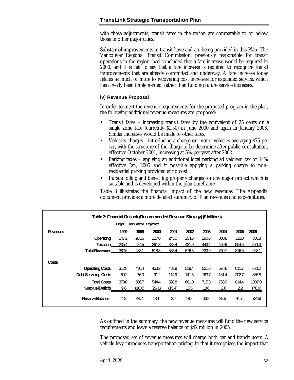with these adjustments, transit fares in the region are comparable to or below those in other major cities.

Substantial improvements in transit have and are being provided in this Plan. The Vancouver Regional Transit Commission, previously responsible for transit operations in the region, had concluded that a fare increase would be required in 2000, and it is fair to say that a fare increase is required to recognize transit improvements that are already committed and underway. A fare increase today relates as much or more to recovering cost increases for expanded service, which has already been implemented, rather than funding future service increases.

#### **iv) Revenue Proposal**

In order to meet the revenue requirements for the proposed program in the plan, the following additional revenue measures are proposed:

- Transit fares increasing transit fares by the equivalent of 25 cents on a single zone fare (currently \$1.50) in June 2000 and again in January 2003. Similar increases would be made to other fares.
- Vehicles charges introducing a charge on motor vehicles averaging \$75 per car, with the structure of the charge to be determine after public consultation, effective October 2001, increasing at 5% per year after 2002.
- Parking taxes applying an additional local parking ad valorem tax of 14% effective Jan, 2005 and if possible applying a parking charge to nonresidential parking provided at no cost
- Pursue tolling and benefiting property charges for any major project which is suitable and is developed within the plan timeframe

Table 3 illustrates the financial impact of the new revenues. The Appendix document provides a more detailed summary of Plan revenues and expenditures.

|                 | Table 3: Financial Outlook (Recommended Revenue Strategy) (\$ Millions) |        |                             |        |        |       |       |       |       |        |
|-----------------|-------------------------------------------------------------------------|--------|-----------------------------|--------|--------|-------|-------|-------|-------|--------|
|                 |                                                                         | Budget | <b>Annualized Projected</b> |        |        |       |       |       |       |        |
| <b>Revenues</b> |                                                                         | 1999   | 1999                        | 2000   | 2001   | 2002  | 2003  | 2004  | 2005  | 2009   |
|                 | Operating                                                               | 147.2  | 203.6                       | 227.0  | 245.0  | 254.6 | 290.6 | 300.8 | 312.0 | 356.8  |
|                 | <b>Taxation</b>                                                         | 235.4  | 284.5                       | 291.3  | 338.4  | 421.9 | 443.4 | 459.9 | 504.6 | 571.3  |
|                 | <b>Total Revenues</b>                                                   | 382.6  | 488.1                       | 518.3  | 583.4  | 676.5 | 733.9 | 760.7 | 816.6 | 928.1  |
| Costs           |                                                                         |        |                             |        |        |       |       |       |       |        |
|                 | <b>Operating Costs</b>                                                  | 312.8  | 430.4                       | 453.2  | 483.9  | 519.4 | 551.6 | 576.6 | 611.7 | 671.2  |
|                 | <b>Debt Servicing Costs</b>                                             | 60.2   | 76.3                        | 91.2   | 114.9  | 141.6 | 163.7 | 181.4 | 202.7 | 335.8  |
|                 | <b>Total Costs</b>                                                      | 373.0  | 506.7                       | 544.4  | 598.8  | 661.0 | 715.3 | 758.0 | 814.4 | 1007.0 |
|                 | Surplus/(Deficit)                                                       | 9.6    | (18.6)                      | (26.1) | (15.4) | 15.5  | 18.6  | 2.6   | 2.2   | (78.9) |
|                 | Reserve Balance                                                         | 44.2   | 44.2                        | 18.1   | 2.7    | 182   | 36.8  | 39.5  | 41.7  | (215)  |

As outlined in the summary, the new revenue measures will fund the new service requirements and leave a reserve balance of \$42 million in 2005.

The proposed set of revenue measures will charge both car and transit users. A vehicle levy introduces transportation pricing, in that it recognizes the impact that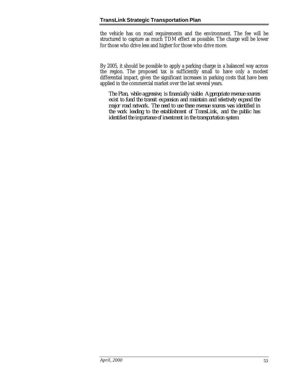the vehicle has on road requirements and the environment. The fee will be structured to capture as much TDM effect as possible. The charge will be lower for those who drive less and higher for those who drive more.

By 2005, it should be possible to apply a parking charge in a balanced way across the region. The proposed tax is sufficiently small to have only a modest differential impact, given the significant increases in parking costs that have been applied in the commercial market over the last several years.

*The Plan, while aggressive, is financially viable. Appropriate revenue sources exist to fund the transit expansion and maintain and selectively expand the major road network. The need to use these revenue sources was identified in the work leading to the establishment of TransLink, and the public has identified the importance of investment in the transportation system.*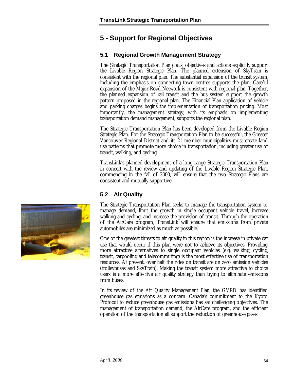### <span id="page-56-0"></span>**5 - Support for Regional Objectives**

#### **5.1 Regional Growth Management Strategy**

The Strategic Transportation Plan goals, objectives and actions explicitly support the Livable Region Strategic Plan. The planned extension of SkyTrain is consistent with the regional plan. The substantial expansion of the transit system, including the emphasis on connecting town centres supports the plan. Careful expansion of the Major Road Network is consistent with regional plan. Together, the planned expansion of rail transit and the bus system support the growth pattern proposed in the regional plan. The Financial Plan application of vehicle and parking charges begins the implementation of transportation pricing. Most importantly, the management strategy, with its emphasis on implementing transportation demand management, supports the regional plan.

The Strategic Transportation Plan has been developed from the Livable Region Strategic Plan. For the Strategic Transportation Plan to be successful, the Greater Vancouver Regional District and its 21 member municipalities must create land use patterns that promote more choice in transportation, including greater use of transit, walking, and cycling.

TransLink's planned development of a long range Strategic Transportation Plan in concert with the review and updating of the Livable Region Strategic Plan, commencing in the fall of 2000, will ensure that the two Strategic Plans are consistent and mutually supportive.

#### **5.2 Air Quality**

The Strategic Transportation Plan seeks to manage the transportation system to manage demand, limit the growth in single occupant vehicle travel, increase walking and cycling, and increase the provision of transit. Through the operation of the AirCare program, TransLink will ensure that emissions from private automobiles are minimized as much as possible.

One of the greatest threats to air quality in this region is the increase in private car use that would occur if this plan were not to achieve its objectives. Providing more attractive alternatives to single occupant vehicles (e.g. walking, cycling, transit, carpooling and telecommuting) is the most effective use of transportation resources. At present, over half the rides on transit are on zero emission vehicles (trolleybuses and SkyTrain). Making the transit system more attractive to choice users is a more effective air quality strategy than trying to eliminate emissions from buses.

In its review of the Air Quality Management Plan, the GVRD has identified greenhouse gas emissions as a concern. Canada's commitment to the Kyoto Protocol to reduce greenhouse gas emissions has set challenging objectives. The management of transportation demand, the AirCare program, and the efficient operation of the transportation all support the reduction of greenhouse gases.

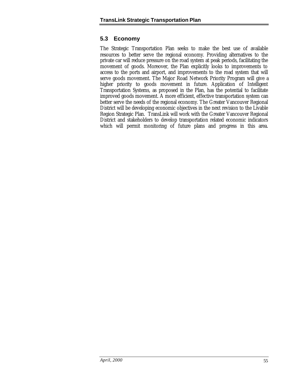#### **5.3 Economy**

The Strategic Transportation Plan seeks to make the best use of available resources to better serve the regional economy. Providing alternatives to the private car will reduce pressure on the road system at peak periods, facilitating the movement of goods. Moreover, the Plan explicitly looks to improvements to access to the ports and airport, and improvements to the road system that will serve goods movement. The Major Road Network Priority Program will give a higher priority to goods movement in future. Application of Intelligent Transportation Systems, as proposed in the Plan, has the potential to facilitate improved goods movement. A more efficient, effective transportation system can better serve the needs of the regional economy. The Greater Vancouver Regional District will be developing economic objectives in the next revision to the Livable Region Strategic Plan. TransLink will work with the Greater Vancouver Regional District and stakeholders to develop transportation related economic indicators which will permit monitoring of future plans and progress in this area.